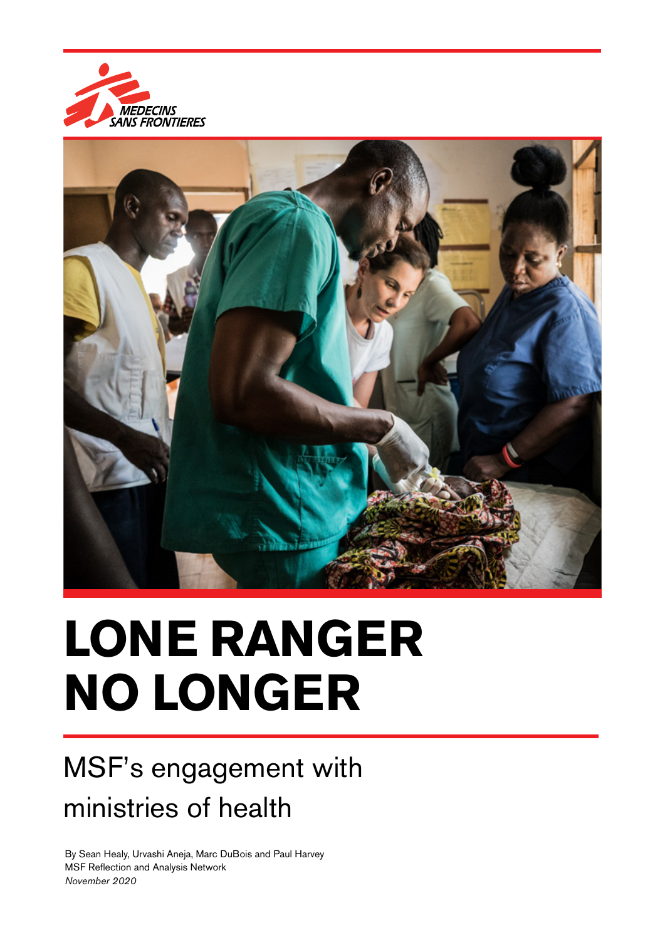



# **LONE RANGER NO LONGER**

## MSF's engagement with ministries of health

By Sean Healy, Urvashi Aneja, Marc DuBois and Paul Harvey MSF Reflection and Analysis Network *November 2020*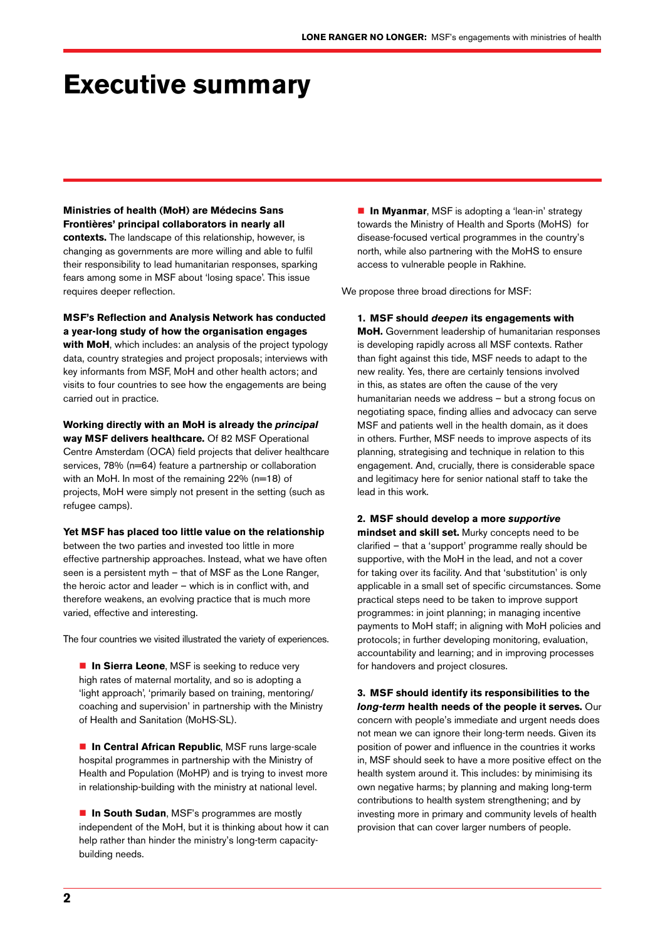### **Executive summary**

**Ministries of health (MoH) are Médecins Sans Frontières' principal collaborators in nearly all contexts.** The landscape of this relationship, however, is changing as governments are more willing and able to fulfil their responsibility to lead humanitarian responses, sparking fears among some in MSF about 'losing space'. This issue requires deeper reflection.

**MSF's Reflection and Analysis Network has conducted a year-long study of how the organisation engages with MoH**, which includes: an analysis of the project typology

data, country strategies and project proposals; interviews with key informants from MSF, MoH and other health actors; and visits to four countries to see how the engagements are being carried out in practice.

**Working directly with an MoH is already the** *principal*

**way MSF delivers healthcare.** Of 82 MSF Operational Centre Amsterdam (OCA) field projects that deliver healthcare services, 78% (n=64) feature a partnership or collaboration with an MoH. In most of the remaining 22% (n=18) of projects, MoH were simply not present in the setting (such as refugee camps).

**Yet MSF has placed too little value on the relationship**

between the two parties and invested too little in more effective partnership approaches. Instead, what we have often seen is a persistent myth – that of MSF as the Lone Ranger, the heroic actor and leader – which is in conflict with, and therefore weakens, an evolving practice that is much more varied, effective and interesting.

The four countries we visited illustrated the variety of experiences.

**In Sierra Leone, MSF** is seeking to reduce very high rates of maternal mortality, and so is adopting a 'light approach', 'primarily based on training, mentoring/ coaching and supervision' in partnership with the Ministry of Health and Sanitation (MoHS-SL).

**In Central African Republic**, MSF runs large-scale hospital programmes in partnership with the Ministry of Health and Population (MoHP) and is trying to invest more in relationship-building with the ministry at national level.

■ In South Sudan, MSF's programmes are mostly independent of the MoH, but it is thinking about how it can help rather than hinder the ministry's long-term capacitybuilding needs.

**In Myanmar**, MSF is adopting a 'lean-in' strategy towards the Ministry of Health and Sports (MoHS) for disease-focused vertical programmes in the country's north, while also partnering with the MoHS to ensure access to vulnerable people in Rakhine.

We propose three broad directions for MSF:

**1. MSF should** *deepen* **its engagements with MoH.** Government leadership of humanitarian responses is developing rapidly across all MSF contexts. Rather than fight against this tide, MSF needs to adapt to the new reality. Yes, there are certainly tensions involved in this, as states are often the cause of the very humanitarian needs we address – but a strong focus on negotiating space, finding allies and advocacy can serve MSF and patients well in the health domain, as it does in others. Further, MSF needs to improve aspects of its planning, strategising and technique in relation to this engagement. And, crucially, there is considerable space and legitimacy here for senior national staff to take the lead in this work.

**2. MSF should develop a more** *supportive* **mindset and skill set.** Murky concepts need to be clarified – that a 'support' programme really should be supportive, with the MoH in the lead, and not a cover for taking over its facility. And that 'substitution' is only applicable in a small set of specific circumstances. Some practical steps need to be taken to improve support programmes: in joint planning; in managing incentive payments to MoH staff; in aligning with MoH policies and protocols; in further developing monitoring, evaluation, accountability and learning; and in improving processes for handovers and project closures.

**3. MSF should identify its responsibilities to the** *long-term* **health needs of the people it serves.** Our concern with people's immediate and urgent needs does not mean we can ignore their long-term needs. Given its position of power and influence in the countries it works in, MSF should seek to have a more positive effect on the health system around it. This includes: by minimising its own negative harms; by planning and making long-term contributions to health system strengthening; and by investing more in primary and community levels of health provision that can cover larger numbers of people.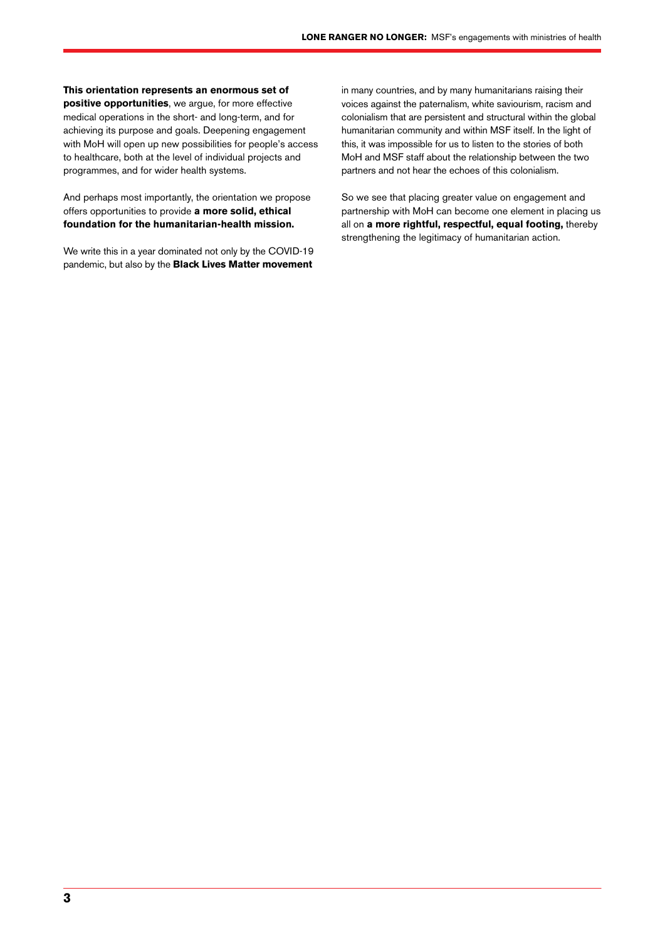#### **This orientation represents an enormous set of**

**positive opportunities**, we argue, for more effective medical operations in the short- and long-term, and for achieving its purpose and goals. Deepening engagement with MoH will open up new possibilities for people's access to healthcare, both at the level of individual projects and programmes, and for wider health systems.

And perhaps most importantly, the orientation we propose offers opportunities to provide **a more solid, ethical foundation for the humanitarian-health mission.**

We write this in a year dominated not only by the COVID-19 pandemic, but also by the **Black Lives Matter movement** in many countries, and by many humanitarians raising their voices against the paternalism, white saviourism, racism and colonialism that are persistent and structural within the global humanitarian community and within MSF itself. In the light of this, it was impossible for us to listen to the stories of both MoH and MSF staff about the relationship between the two partners and not hear the echoes of this colonialism.

So we see that placing greater value on engagement and partnership with MoH can become one element in placing us all on **a more rightful, respectful, equal footing,** thereby strengthening the legitimacy of humanitarian action.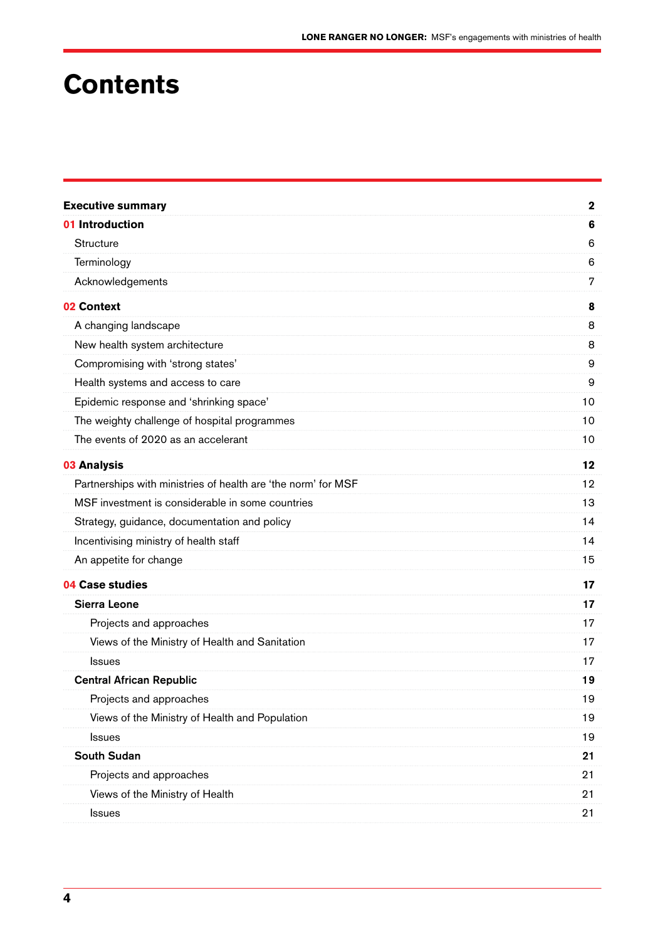### **Contents**

| <b>Executive summary</b>                                      | $\mathbf{2}$ |
|---------------------------------------------------------------|--------------|
| 01 Introduction                                               | 6            |
| Structure                                                     | 6            |
| Terminology                                                   | 6            |
| Acknowledgements                                              | 7            |
| 02 Context                                                    | 8            |
| A changing landscape                                          | 8            |
| New health system architecture                                | 8            |
| Compromising with 'strong states'                             | 9            |
| Health systems and access to care                             | 9            |
| Epidemic response and 'shrinking space'                       | 10           |
| The weighty challenge of hospital programmes                  | 10           |
| The events of 2020 as an accelerant                           | 10           |
| 03 Analysis                                                   | 12           |
| Partnerships with ministries of health are 'the norm' for MSF | $12 \,$      |
| MSF investment is considerable in some countries              | 13           |
| Strategy, guidance, documentation and policy                  | 14           |
| Incentivising ministry of health staff                        | 14           |
| An appetite for change                                        | 15           |
| 04 Case studies                                               | 17           |
| <b>Sierra Leone</b>                                           | 17           |
| Projects and approaches                                       | 17           |
| Views of the Ministry of Health and Sanitation                | 17           |
| Issues                                                        | 17           |
| <b>Central African Republic</b>                               | 19           |
| Projects and approaches                                       | 19           |
| Views of the Ministry of Health and Population                | 19           |
| <b>Issues</b>                                                 | 19           |
| <b>South Sudan</b>                                            | 21           |
| Projects and approaches                                       | 21           |
| Views of the Ministry of Health                               | 21           |
| <b>Issues</b>                                                 | 21           |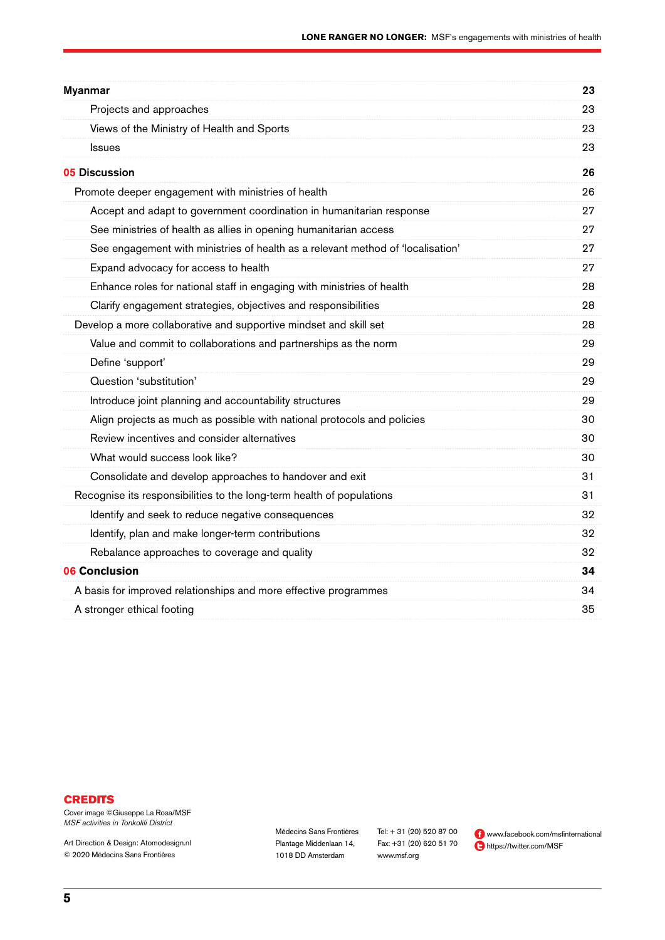| <b>Myanmar</b>                                                                  | 23 |
|---------------------------------------------------------------------------------|----|
| Projects and approaches                                                         | 23 |
| Views of the Ministry of Health and Sports                                      | 23 |
| <b>Issues</b>                                                                   | 23 |
| <b>05 Discussion</b>                                                            | 26 |
| Promote deeper engagement with ministries of health                             | 26 |
| Accept and adapt to government coordination in humanitarian response            | 27 |
| See ministries of health as allies in opening humanitarian access               | 27 |
| See engagement with ministries of health as a relevant method of 'localisation' | 27 |
| Expand advocacy for access to health                                            | 27 |
| Enhance roles for national staff in engaging with ministries of health          | 28 |
| Clarify engagement strategies, objectives and responsibilities                  | 28 |
| Develop a more collaborative and supportive mindset and skill set               | 28 |
| Value and commit to collaborations and partnerships as the norm                 | 29 |
| Define 'support'                                                                | 29 |
| Question 'substitution'                                                         | 29 |
| Introduce joint planning and accountability structures                          | 29 |
| Align projects as much as possible with national protocols and policies         | 30 |
| Review incentives and consider alternatives                                     | 30 |
| What would success look like?                                                   | 30 |
| Consolidate and develop approaches to handover and exit                         | 31 |
| Recognise its responsibilities to the long-term health of populations           | 31 |
| Identify and seek to reduce negative consequences                               | 32 |
| Identify, plan and make longer-term contributions                               | 32 |
| Rebalance approaches to coverage and quality                                    | 32 |
| <b>06 Conclusion</b>                                                            | 34 |
| A basis for improved relationships and more effective programmes                | 34 |
| A stronger ethical footing                                                      | 35 |
|                                                                                 |    |

#### **CREDITS**

Cover image ©Giuseppe La Rosa/MSF *MSF activities in Tonkolili District* 

Art Direction & Design: Atomodesign.nl © 2020 Médecins Sans Frontières

Médecins Sans Frontières Plantage Middenlaan 14, 1018 DD Amsterdam

Tel: + 31 (20) 520 87 00 Fax: +31 (20) 620 51 70 www.msf.org

 www.facebook.com/msfinternational https://twitter.com/MSF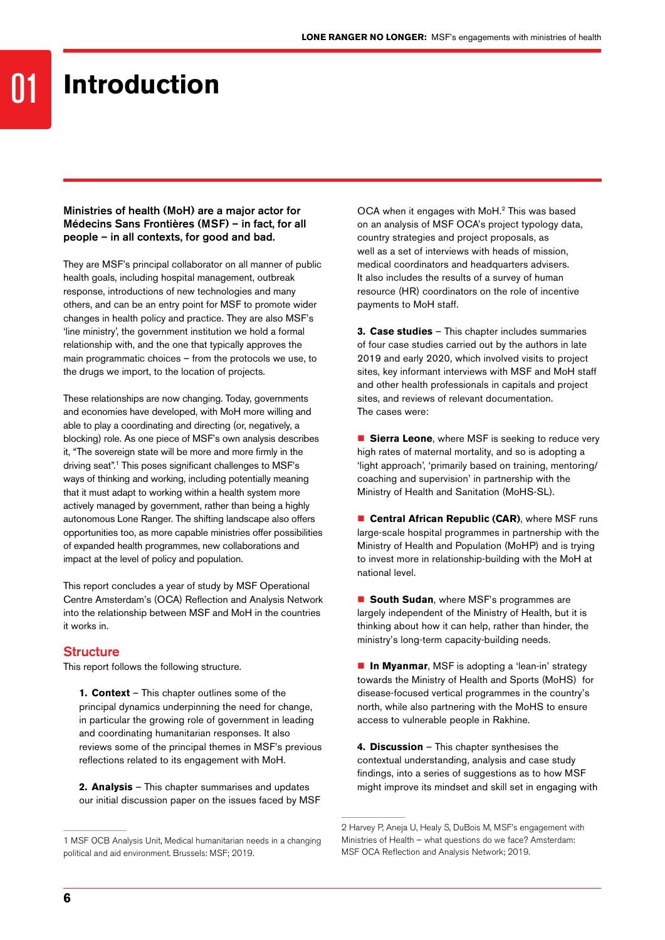01

#### Ministries of health (MoH) are a major actor for Médecins Sans Frontières (MSF) – in fact, for all people – in all contexts, for good and bad.

They are MSF's principal collaborator on all manner of public health goals, including hospital management, outbreak response, introductions of new technologies and many others, and can be an entry point for MSF to promote wider changes in health policy and practice. They are also MSF's 'line ministry', the government institution we hold a formal relationship with, and the one that typically approves the main programmatic choices – from the protocols we use, to the drugs we import, to the location of projects.

These relationships are now changing. Today, governments and economies have developed, with MoH more willing and able to play a coordinating and directing (or, negatively, a blocking) role. As one piece of MSF's own analysis describes it, "The sovereign state will be more and more firmly in the driving seat".1 This poses significant challenges to MSF's ways of thinking and working, including potentially meaning that it must adapt to working within a health system more actively managed by government, rather than being a highly autonomous Lone Ranger. The shifting landscape also offers opportunities too, as more capable ministries offer possibilities of expanded health programmes, new collaborations and impact at the level of policy and population.

This report concludes a year of study by MSF Operational Centre Amsterdam's (OCA) Reflection and Analysis Network into the relationship between MSF and MoH in the countries it works in.

#### **Structure**

This report follows the following structure.

**1. Context** – This chapter outlines some of the principal dynamics underpinning the need for change, in particular the growing role of government in leading and coordinating humanitarian responses. It also reviews some of the principal themes in MSF's previous reflections related to its engagement with MoH.

**2. Analysis** – This chapter summarises and updates our initial discussion paper on the issues faced by MSF OCA when it engages with MoH.2 This was based on an analysis of MSF OCA's project typology data, country strategies and project proposals, as well as a set of interviews with heads of mission, medical coordinators and headquarters advisers. It also includes the results of a survey of human resource (HR) coordinators on the role of incentive payments to MoH staff.

**3. Case studies** – This chapter includes summaries of four case studies carried out by the authors in late 2019 and early 2020, which involved visits to project sites, key informant interviews with MSF and MoH staff and other health professionals in capitals and project sites, and reviews of relevant documentation. The cases were:

**Sierra Leone**, where MSF is seeking to reduce very high rates of maternal mortality, and so is adopting a 'light approach', 'primarily based on training, mentoring/ coaching and supervision' in partnership with the Ministry of Health and Sanitation (MoHS-SL).

 **Central African Republic (CAR)**, where MSF runs large-scale hospital programmes in partnership with the Ministry of Health and Population (MoHP) and is trying to invest more in relationship-building with the MoH at national level.

**South Sudan, where MSF's programmes are** largely independent of the Ministry of Health, but it is thinking about how it can help, rather than hinder, the ministry's long-term capacity-building needs.

**In Myanmar**, MSF is adopting a 'lean-in' strategy towards the Ministry of Health and Sports (MoHS) for disease-focused vertical programmes in the country's north, while also partnering with the MoHS to ensure access to vulnerable people in Rakhine.

**4. Discussion** – This chapter synthesises the contextual understanding, analysis and case study findings, into a series of suggestions as to how MSF might improve its mindset and skill set in engaging with

<sup>1</sup> MSF OCB Analysis Unit, Medical humanitarian needs in a changing political and aid environment. Brussels: MSF; 2019.

<sup>2</sup> Harvey P, Aneja U, Healy S, DuBois M, MSF's engagement with Ministries of Health – what questions do we face? Amsterdam: MSF OCA Reflection and Analysis Network; 2019.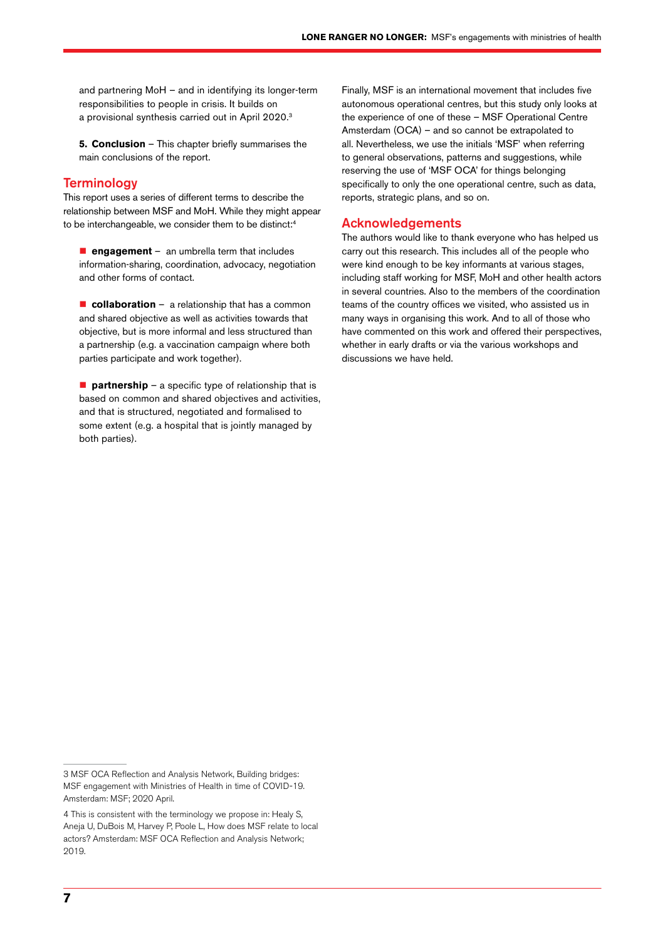and partnering MoH – and in identifying its longer-term responsibilities to people in crisis. It builds on a provisional synthesis carried out in April 2020.3

**5. Conclusion** – This chapter briefly summarises the main conclusions of the report.

#### **Terminology**

This report uses a series of different terms to describe the relationship between MSF and MoH. While they might appear to be interchangeable, we consider them to be distinct:4

**engagement** – an umbrella term that includes information-sharing, coordination, advocacy, negotiation and other forms of contact.

**collaboration** – a relationship that has a common and shared objective as well as activities towards that objective, but is more informal and less structured than a partnership (e.g. a vaccination campaign where both parties participate and work together).

**partnership** – a specific type of relationship that is based on common and shared objectives and activities, and that is structured, negotiated and formalised to some extent (e.g. a hospital that is jointly managed by both parties).

Finally, MSF is an international movement that includes five autonomous operational centres, but this study only looks at the experience of one of these – MSF Operational Centre Amsterdam (OCA) – and so cannot be extrapolated to all. Nevertheless, we use the initials 'MSF' when referring to general observations, patterns and suggestions, while reserving the use of 'MSF OCA' for things belonging specifically to only the one operational centre, such as data, reports, strategic plans, and so on.

#### Acknowledgements

The authors would like to thank everyone who has helped us carry out this research. This includes all of the people who were kind enough to be key informants at various stages, including staff working for MSF, MoH and other health actors in several countries. Also to the members of the coordination teams of the country offices we visited, who assisted us in many ways in organising this work. And to all of those who have commented on this work and offered their perspectives, whether in early drafts or via the various workshops and discussions we have held.

<sup>3</sup> MSF OCA Reflection and Analysis Network, Building bridges: MSF engagement with Ministries of Health in time of COVID-19. Amsterdam: MSF; 2020 April.

<sup>4</sup> This is consistent with the terminology we propose in: Healy S, Aneja U, DuBois M, Harvey P, Poole L, How does MSF relate to local actors? Amsterdam: MSF OCA Reflection and Analysis Network; 2019.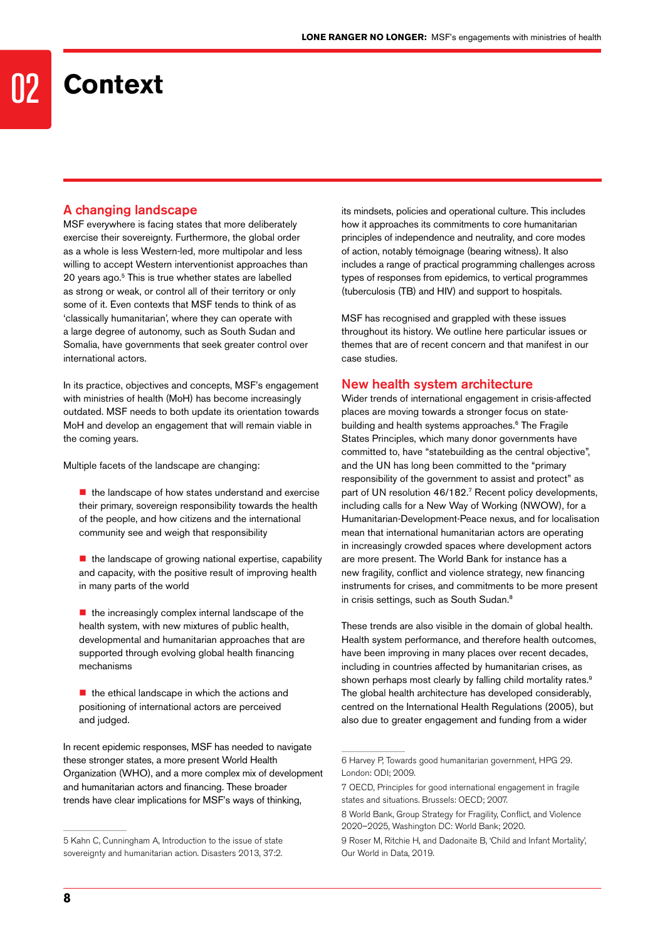### 02 **Context**

#### A changing landscape

MSF everywhere is facing states that more deliberately exercise their sovereignty. Furthermore, the global order as a whole is less Western-led, more multipolar and less willing to accept Western interventionist approaches than 20 years ago.5 This is true whether states are labelled as strong or weak, or control all of their territory or only some of it. Even contexts that MSF tends to think of as 'classically humanitarian', where they can operate with a large degree of autonomy, such as South Sudan and Somalia, have governments that seek greater control over international actors.

In its practice, objectives and concepts, MSF's engagement with ministries of health (MoH) has become increasingly outdated. MSF needs to both update its orientation towards MoH and develop an engagement that will remain viable in the coming years.

Multiple facets of the landscape are changing:

- $\blacksquare$  the landscape of how states understand and exercise their primary, sovereign responsibility towards the health of the people, and how citizens and the international community see and weigh that responsibility
- $\blacksquare$  the landscape of growing national expertise, capability and capacity, with the positive result of improving health in many parts of the world
- $\blacksquare$  the increasingly complex internal landscape of the health system, with new mixtures of public health, developmental and humanitarian approaches that are supported through evolving global health financing mechanisms
- $\blacksquare$  the ethical landscape in which the actions and positioning of international actors are perceived and judged.

In recent epidemic responses, MSF has needed to navigate these stronger states, a more present World Health Organization (WHO), and a more complex mix of development and humanitarian actors and financing. These broader trends have clear implications for MSF's ways of thinking,

its mindsets, policies and operational culture. This includes how it approaches its commitments to core humanitarian principles of independence and neutrality, and core modes of action, notably témoignage (bearing witness). It also includes a range of practical programming challenges across types of responses from epidemics, to vertical programmes (tuberculosis (TB) and HIV) and support to hospitals.

MSF has recognised and grappled with these issues throughout its history. We outline here particular issues or themes that are of recent concern and that manifest in our case studies.

#### New health system architecture

Wider trends of international engagement in crisis-affected places are moving towards a stronger focus on statebuilding and health systems approaches.<sup>6</sup> The Fragile States Principles, which many donor governments have committed to, have "statebuilding as the central objective", and the UN has long been committed to the "primary responsibility of the government to assist and protect" as part of UN resolution 46/182.7 Recent policy developments, including calls for a New Way of Working (NWOW), for a Humanitarian-Development-Peace nexus, and for localisation mean that international humanitarian actors are operating in increasingly crowded spaces where development actors are more present. The World Bank for instance has a new fragility, conflict and violence strategy, new financing instruments for crises, and commitments to be more present in crisis settings, such as South Sudan.<sup>8</sup>

These trends are also visible in the domain of global health. Health system performance, and therefore health outcomes, have been improving in many places over recent decades, including in countries affected by humanitarian crises, as shown perhaps most clearly by falling child mortality rates.<sup>9</sup> The global health architecture has developed considerably, centred on the International Health Regulations (2005), but also due to greater engagement and funding from a wider

<sup>5</sup> Kahn C, Cunningham A, Introduction to the issue of state sovereignty and humanitarian action. Disasters 2013, 37:2.

<sup>6</sup> Harvey P, Towards good humanitarian government, HPG 29. London: ODI; 2009.

<sup>7</sup> OECD, Principles for good international engagement in fragile states and situations. Brussels: OECD; 2007.

<sup>8</sup> World Bank, Group Strategy for Fragility, Conflict, and Violence 2020–2025, Washington DC: World Bank; 2020.

<sup>9</sup> Roser M, Ritchie H, and Dadonaite B, 'Child and Infant Mortality', Our World in Data, 2019.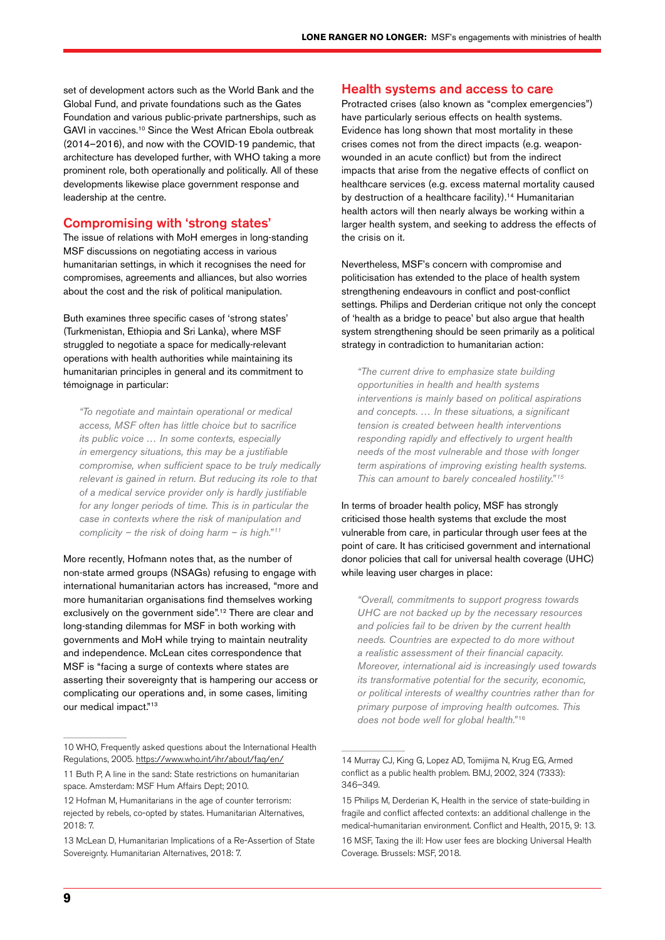set of development actors such as the World Bank and the Global Fund, and private foundations such as the Gates Foundation and various public-private partnerships, such as GAVI in vaccines.10 Since the West African Ebola outbreak (2014–2016), and now with the COVID-19 pandemic, that architecture has developed further, with WHO taking a more prominent role, both operationally and politically. All of these developments likewise place government response and leadership at the centre.

#### Compromising with 'strong states'

The issue of relations with MoH emerges in long-standing MSF discussions on negotiating access in various humanitarian settings, in which it recognises the need for compromises, agreements and alliances, but also worries about the cost and the risk of political manipulation.

Buth examines three specific cases of 'strong states' (Turkmenistan, Ethiopia and Sri Lanka), where MSF struggled to negotiate a space for medically-relevant operations with health authorities while maintaining its humanitarian principles in general and its commitment to témoignage in particular:

*"To negotiate and maintain operational or medical access, MSF often has little choice but to sacrifice its public voice … In some contexts, especially in emergency situations, this may be a justifiable compromise, when sufficient space to be truly medically relevant is gained in return. But reducing its role to that of a medical service provider only is hardly justifiable for any longer periods of time. This is in particular the case in contexts where the risk of manipulation and complicity – the risk of doing harm – is high." <sup>11</sup>*

More recently, Hofmann notes that, as the number of non-state armed groups (NSAGs) refusing to engage with international humanitarian actors has increased, "more and more humanitarian organisations find themselves working exclusively on the government side".<sup>12</sup> There are clear and long-standing dilemmas for MSF in both working with governments and MoH while trying to maintain neutrality and independence. McLean cites correspondence that MSF is "facing a surge of contexts where states are asserting their sovereignty that is hampering our access or complicating our operations and, in some cases, limiting our medical impact."13

#### Health systems and access to care

Protracted crises (also known as "complex emergencies") have particularly serious effects on health systems. Evidence has long shown that most mortality in these crises comes not from the direct impacts (e.g. weaponwounded in an acute conflict) but from the indirect impacts that arise from the negative effects of conflict on healthcare services (e.g. excess maternal mortality caused by destruction of a healthcare facility).<sup>14</sup> Humanitarian health actors will then nearly always be working within a larger health system, and seeking to address the effects of the crisis on it.

Nevertheless, MSF's concern with compromise and politicisation has extended to the place of health system strengthening endeavours in conflict and post-conflict settings. Philips and Derderian critique not only the concept of 'health as a bridge to peace' but also argue that health system strengthening should be seen primarily as a political strategy in contradiction to humanitarian action:

*"The current drive to emphasize state building opportunities in health and health systems interventions is mainly based on political aspirations and concepts. … In these situations, a significant tension is created between health interventions responding rapidly and effectively to urgent health needs of the most vulnerable and those with longer term aspirations of improving existing health systems. This can amount to barely concealed hostility." <sup>15</sup>*

In terms of broader health policy, MSF has strongly criticised those health systems that exclude the most vulnerable from care, in particular through user fees at the point of care. It has criticised government and international donor policies that call for universal health coverage (UHC) while leaving user charges in place:

*"Overall, commitments to support progress towards UHC are not backed up by the necessary resources and policies fail to be driven by the current health needs. Countries are expected to do more without a realistic assessment of their financial capacity. Moreover, international aid is increasingly used towards its transformative potential for the security, economic, or political interests of wealthy countries rather than for primary purpose of improving health outcomes. This does not bode well for global health."* <sup>16</sup>

<sup>10</sup> WHO, Frequently asked questions about the International Health Regulations, 2005. <https://www.who.int/ihr/about/faq/en/>

<sup>11</sup> Buth P, A line in the sand: State restrictions on humanitarian space. Amsterdam: MSF Hum Affairs Dept; 2010.

<sup>12</sup> Hofman M, Humanitarians in the age of counter terrorism: rejected by rebels, co-opted by states. Humanitarian Alternatives, 2018: 7.

<sup>13</sup> McLean D, Humanitarian Implications of a Re-Assertion of State Sovereignty. Humanitarian Alternatives, 2018: 7.

<sup>14</sup> Murray CJ, King G, Lopez AD, Tomijima N, Krug EG, Armed conflict as a public health problem. BMJ, 2002, 324 (7333): 346–349.

<sup>15</sup> Philips M, Derderian K, Health in the service of state-building in fragile and conflict affected contexts: an additional challenge in the medical-humanitarian environment. Conflict and Health, 2015, 9: 13.

<sup>16</sup> MSF, Taxing the ill: How user fees are blocking Universal Health Coverage. Brussels: MSF, 2018.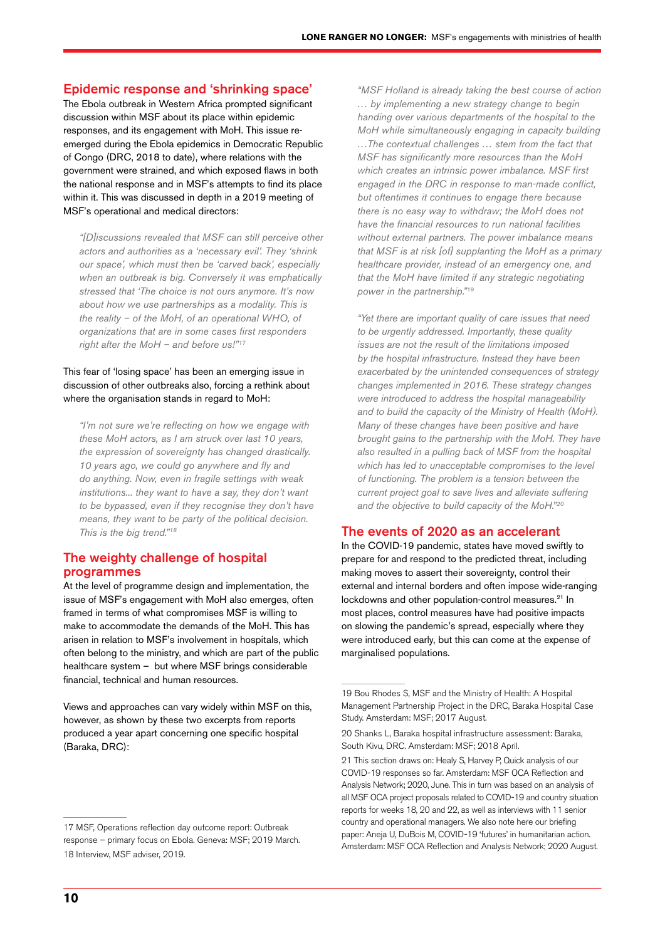#### Epidemic response and 'shrinking space'

The Ebola outbreak in Western Africa prompted significant discussion within MSF about its place within epidemic responses, and its engagement with MoH. This issue reemerged during the Ebola epidemics in Democratic Republic of Congo (DRC, 2018 to date), where relations with the government were strained, and which exposed flaws in both the national response and in MSF's attempts to find its place within it. This was discussed in depth in a 2019 meeting of MSF's operational and medical directors:

*"[D]iscussions revealed that MSF can still perceive other actors and authorities as a 'necessary evil'. They 'shrink our space', which must then be 'carved back', especially when an outbreak is big. Conversely it was emphatically stressed that 'The choice is not ours anymore. It's now about how we use partnerships as a modality. This is the reality – of the MoH, of an operational WHO, of organizations that are in some cases first responders right after the MoH – and before us!"17*

#### This fear of 'losing space' has been an emerging issue in discussion of other outbreaks also, forcing a rethink about where the organisation stands in regard to MoH:

*"I'm not sure we're reflecting on how we engage with these MoH actors, as I am struck over last 10 years, the expression of sovereignty has changed drastically. 10 years ago, we could go anywhere and fly and do anything. Now, even in fragile settings with weak institutions... they want to have a say, they don't want to be bypassed, even if they recognise they don't have means, they want to be party of the political decision. This is the big trend."18*

#### The weighty challenge of hospital programmes

At the level of programme design and implementation, the issue of MSF's engagement with MoH also emerges, often framed in terms of what compromises MSF is willing to make to accommodate the demands of the MoH. This has arisen in relation to MSF's involvement in hospitals, which often belong to the ministry, and which are part of the public healthcare system – but where MSF brings considerable financial, technical and human resources.

Views and approaches can vary widely within MSF on this, however, as shown by these two excerpts from reports produced a year apart concerning one specific hospital (Baraka, DRC):

*"MSF Holland is already taking the best course of action … by implementing a new strategy change to begin handing over various departments of the hospital to the MoH while simultaneously engaging in capacity building …The contextual challenges … stem from the fact that MSF has significantly more resources than the MoH which creates an intrinsic power imbalance. MSF first engaged in the DRC in response to man-made conflict, but oftentimes it continues to engage there because there is no easy way to withdraw; the MoH does not have the financial resources to run national facilities without external partners. The power imbalance means that MSF is at risk [of] supplanting the MoH as a primary healthcare provider, instead of an emergency one, and that the MoH have limited if any strategic negotiating power in the partnership."*<sup>19</sup>

*"Yet there are important quality of care issues that need to be urgently addressed. Importantly, these quality issues are not the result of the limitations imposed by the hospital infrastructure. Instead they have been exacerbated by the unintended consequences of strategy changes implemented in 2016. These strategy changes were introduced to address the hospital manageability and to build the capacity of the Ministry of Health (MoH). Many of these changes have been positive and have brought gains to the partnership with the MoH. They have also resulted in a pulling back of MSF from the hospital which has led to unacceptable compromises to the level of functioning. The problem is a tension between the current project goal to save lives and alleviate suffering*  and the objective to build capacity of the MoH."<sup>20</sup>

#### The events of 2020 as an accelerant

In the COVID-19 pandemic, states have moved swiftly to prepare for and respond to the predicted threat, including making moves to assert their sovereignty, control their external and internal borders and often impose wide-ranging lockdowns and other population-control measures.<sup>21</sup> In most places, control measures have had positive impacts on slowing the pandemic's spread, especially where they were introduced early, but this can come at the expense of marginalised populations.

<sup>17</sup> MSF, Operations reflection day outcome report: Outbreak response – primary focus on Ebola. Geneva: MSF; 2019 March. 18 Interview, MSF adviser, 2019.

<sup>19</sup> Bou Rhodes S, MSF and the Ministry of Health: A Hospital Management Partnership Project in the DRC, Baraka Hospital Case Study. Amsterdam: MSF; 2017 August.

<sup>20</sup> Shanks L, Baraka hospital infrastructure assessment: Baraka, South Kivu, DRC. Amsterdam: MSF; 2018 April.

<sup>21</sup> This section draws on: Healy S, Harvey P, Quick analysis of our COVID-19 responses so far. Amsterdam: MSF OCA Reflection and Analysis Network; 2020, June. This in turn was based on an analysis of all MSF OCA project proposals related to COVID-19 and country situation reports for weeks 18, 20 and 22, as well as interviews with 11 senior country and operational managers. We also note here our briefing paper: Aneja U, DuBois M, COVID-19 'futures' in humanitarian action. Amsterdam: MSF OCA Reflection and Analysis Network; 2020 August.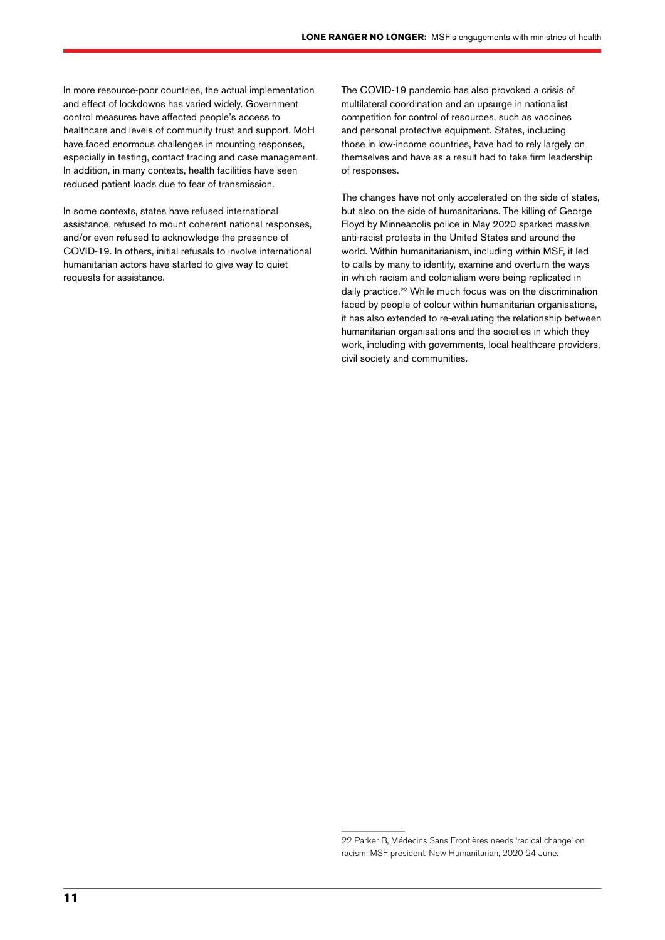In more resource-poor countries, the actual implementation and effect of lockdowns has varied widely. Government control measures have affected people's access to healthcare and levels of community trust and support. MoH have faced enormous challenges in mounting responses, especially in testing, contact tracing and case management. In addition, in many contexts, health facilities have seen reduced patient loads due to fear of transmission.

In some contexts, states have refused international assistance, refused to mount coherent national responses, and/or even refused to acknowledge the presence of COVID-19. In others, initial refusals to involve international humanitarian actors have started to give way to quiet requests for assistance.

The COVID-19 pandemic has also provoked a crisis of multilateral coordination and an upsurge in nationalist competition for control of resources, such as vaccines and personal protective equipment. States, including those in low-income countries, have had to rely largely on themselves and have as a result had to take firm leadership of responses.

The changes have not only accelerated on the side of states, but also on the side of humanitarians. The killing of George Floyd by Minneapolis police in May 2020 sparked massive anti-racist protests in the United States and around the world. Within humanitarianism, including within MSF, it led to calls by many to identify, examine and overturn the ways in which racism and colonialism were being replicated in daily practice.<sup>22</sup> While much focus was on the discrimination faced by people of colour within humanitarian organisations, it has also extended to re-evaluating the relationship between humanitarian organisations and the societies in which they work, including with governments, local healthcare providers, civil society and communities.

<sup>22</sup> Parker B, Médecins Sans Frontières needs 'radical change' on racism: MSF president. New Humanitarian, 2020 24 June.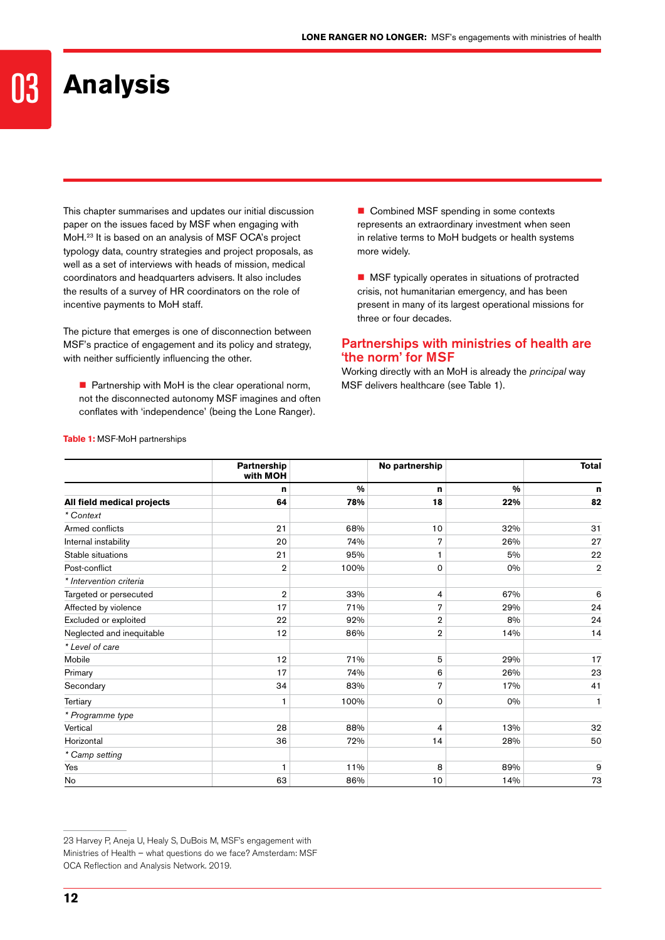### **Analysis**

This chapter summarises and updates our initial discussion paper on the issues faced by MSF when engaging with MoH.23 It is based on an analysis of MSF OCA's project typology data, country strategies and project proposals, as well as a set of interviews with heads of mission, medical coordinators and headquarters advisers. It also includes the results of a survey of HR coordinators on the role of incentive payments to MoH staff.

The picture that emerges is one of disconnection between MSF's practice of engagement and its policy and strategy, with neither sufficiently influencing the other.

 $\blacksquare$  Partnership with MoH is the clear operational norm, not the disconnected autonomy MSF imagines and often conflates with 'independence' (being the Lone Ranger).

Combined MSF spending in some contexts represents an extraordinary investment when seen in relative terms to MoH budgets or health systems more widely.

**MSF** typically operates in situations of protracted crisis, not humanitarian emergency, and has been present in many of its largest operational missions for three or four decades.

#### Partnerships with ministries of health are 'the norm' for MSF

Working directly with an MoH is already the *principal* way MSF delivers healthcare (see Table 1).

|                            | Partnership<br>with MOH |               | No partnership |               | <b>Total</b>   |
|----------------------------|-------------------------|---------------|----------------|---------------|----------------|
|                            | n                       | $\frac{0}{0}$ | n              | $\frac{0}{0}$ | n              |
| All field medical projects | 64                      | 78%           | 18             | 22%           | 82             |
| * Context                  |                         |               |                |               |                |
| Armed conflicts            | 21                      | 68%           | 10             | 32%           | 31             |
| Internal instability       | 20                      | 74%           | 7              | 26%           | 27             |
| Stable situations          | 21                      | 95%           | 1              | 5%            | 22             |
| Post-conflict              | $\mathbf 2$             | 100%          | 0              | 0%            | $\overline{2}$ |
| * Intervention criteria    |                         |               |                |               |                |
| Targeted or persecuted     | $\overline{2}$          | 33%           | 4              | 67%           | 6              |
| Affected by violence       | 17                      | 71%           | 7              | 29%           | 24             |
| Excluded or exploited      | 22                      | 92%           | $\overline{2}$ | 8%            | 24             |
| Neglected and inequitable  | 12                      | 86%           | $\overline{2}$ | 14%           | 14             |
| * Level of care            |                         |               |                |               |                |
| Mobile                     | 12                      | 71%           | 5              | 29%           | 17             |
| Primary                    | 17                      | 74%           | 6              | 26%           | 23             |
| Secondary                  | 34                      | 83%           | $\overline{7}$ | 17%           | 41             |
| Tertiary                   | 1                       | 100%          | 0              | 0%            | 1              |
| * Programme type           |                         |               |                |               |                |
| Vertical                   | 28                      | 88%           | 4              | 13%           | 32             |
| Horizontal                 | 36                      | 72%           | 14             | 28%           | 50             |
| * Camp setting             |                         |               |                |               |                |
| Yes                        | 1                       | 11%           | 8              | 89%           | 9              |
| No                         | 63                      | 86%           | 10             | 14%           | 73             |

#### **Table 1:** MSF-MoH partnerships

<sup>23</sup> Harvey P, Aneja U, Healy S, DuBois M, MSF's engagement with Ministries of Health – what questions do we face? Amsterdam: MSF OCA Reflection and Analysis Network. 2019.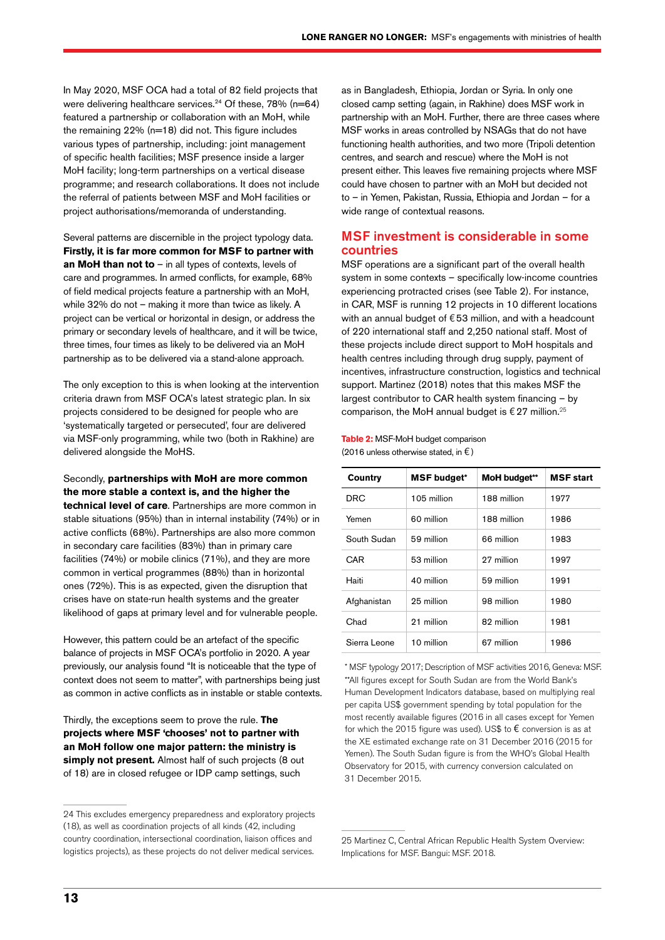In May 2020, MSF OCA had a total of 82 field projects that were delivering healthcare services.<sup>24</sup> Of these, 78% (n=64) featured a partnership or collaboration with an MoH, while the remaining 22% (n=18) did not. This figure includes various types of partnership, including: joint management of specific health facilities; MSF presence inside a larger MoH facility; long-term partnerships on a vertical disease programme; and research collaborations. It does not include the referral of patients between MSF and MoH facilities or project authorisations/memoranda of understanding.

Several patterns are discernible in the project typology data. **Firstly, it is far more common for MSF to partner with an MoH than not to** – in all types of contexts, levels of care and programmes. In armed conflicts, for example, 68% of field medical projects feature a partnership with an MoH, while 32% do not – making it more than twice as likely. A project can be vertical or horizontal in design, or address the primary or secondary levels of healthcare, and it will be twice, three times, four times as likely to be delivered via an MoH partnership as to be delivered via a stand-alone approach.

The only exception to this is when looking at the intervention criteria drawn from MSF OCA's latest strategic plan. In six projects considered to be designed for people who are 'systematically targeted or persecuted', four are delivered via MSF-only programming, while two (both in Rakhine) are delivered alongside the MoHS.

Secondly, **partnerships with MoH are more common the more stable a context is, and the higher the** 

**technical level of care**. Partnerships are more common in stable situations (95%) than in internal instability (74%) or in active conflicts (68%). Partnerships are also more common in secondary care facilities (83%) than in primary care facilities (74%) or mobile clinics (71%), and they are more common in vertical programmes (88%) than in horizontal ones (72%). This is as expected, given the disruption that crises have on state-run health systems and the greater likelihood of gaps at primary level and for vulnerable people.

However, this pattern could be an artefact of the specific balance of projects in MSF OCA's portfolio in 2020. A year previously, our analysis found "It is noticeable that the type of context does not seem to matter", with partnerships being just as common in active conflicts as in instable or stable contexts.

Thirdly, the exceptions seem to prove the rule. **The projects where MSF 'chooses' not to partner with an MoH follow one major pattern: the ministry is simply not present.** Almost half of such projects (8 out of 18) are in closed refugee or IDP camp settings, such

as in Bangladesh, Ethiopia, Jordan or Syria. In only one closed camp setting (again, in Rakhine) does MSF work in partnership with an MoH. Further, there are three cases where MSF works in areas controlled by NSAGs that do not have functioning health authorities, and two more (Tripoli detention centres, and search and rescue) where the MoH is not present either. This leaves five remaining projects where MSF could have chosen to partner with an MoH but decided not to – in Yemen, Pakistan, Russia, Ethiopia and Jordan – for a wide range of contextual reasons.

#### MSF investment is considerable in some countries

MSF operations are a significant part of the overall health system in some contexts – specifically low-income countries experiencing protracted crises (see Table 2). For instance, in CAR, MSF is running 12 projects in 10 different locations with an annual budget of €53 million, and with a headcount of 220 international staff and 2,250 national staff. Most of these projects include direct support to MoH hospitals and health centres including through drug supply, payment of incentives, infrastructure construction, logistics and technical support. Martinez (2018) notes that this makes MSF the largest contributor to CAR health system financing – by comparison, the MoH annual budget is  $\epsilon$  27 million.<sup>25</sup>

#### **Table 2:** MSF-MoH budget comparison (2016 unless otherwise stated, in  $\epsilon$ )

| <b>Country</b> | <b>MSF</b> budget* | MoH budget** | <b>MSF start</b> |
|----------------|--------------------|--------------|------------------|
| DRC            | 105 million        | 188 million  | 1977             |
| Yemen          | 60 million         | 188 million  | 1986             |
| South Sudan    | 59 million         | 66 million   | 1983             |
| CAR            | 53 million         | 27 million   | 1997             |
| Haiti          | 40 million         | 59 million   | 1991             |
| Afghanistan    | 25 million         | 98 million   | 1980             |
| Chad           | 21 million         | 82 million   | 1981             |
| Sierra Leone   | 10 million         | 67 million   | 1986             |

\* MSF typology 2017; Description of MSF activities 2016, Geneva: MSF. \*\*All figures except for South Sudan are from the World Bank's Human Development Indicators database, based on multiplying real per capita US\$ government spending by total population for the most recently available figures (2016 in all cases except for Yemen for which the 2015 figure was used). US\$ to  $\epsilon$  conversion is as at the XE estimated exchange rate on 31 December 2016 (2015 for Yemen). The South Sudan figure is from the WHO's Global Health Observatory for 2015, with currency conversion calculated on 31 December 2015.

25 Martinez C, Central African Republic Health System Overview: Implications for MSF. Bangui: MSF. 2018.

<sup>24</sup> This excludes emergency preparedness and exploratory projects (18), as well as coordination projects of all kinds (42, including country coordination, intersectional coordination, liaison offices and logistics projects), as these projects do not deliver medical services.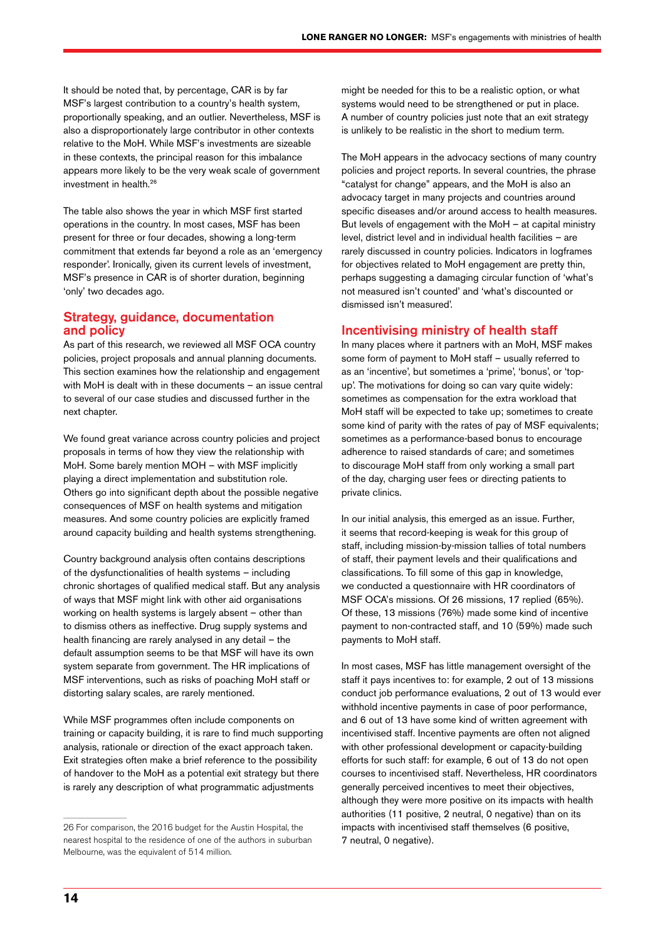It should be noted that, by percentage, CAR is by far MSF's largest contribution to a country's health system, proportionally speaking, and an outlier. Nevertheless, MSF is also a disproportionately large contributor in other contexts relative to the MoH. While MSF's investments are sizeable in these contexts, the principal reason for this imbalance appears more likely to be the very weak scale of government investment in health.26

The table also shows the year in which MSF first started operations in the country. In most cases, MSF has been present for three or four decades, showing a long-term commitment that extends far beyond a role as an 'emergency responder'. Ironically, given its current levels of investment, MSF's presence in CAR is of shorter duration, beginning 'only' two decades ago.

#### Strategy, guidance, documentation and policy

As part of this research, we reviewed all MSF OCA country policies, project proposals and annual planning documents. This section examines how the relationship and engagement with MoH is dealt with in these documents – an issue central to several of our case studies and discussed further in the next chapter.

We found great variance across country policies and project proposals in terms of how they view the relationship with MoH. Some barely mention MOH – with MSF implicitly playing a direct implementation and substitution role. Others go into significant depth about the possible negative consequences of MSF on health systems and mitigation measures. And some country policies are explicitly framed around capacity building and health systems strengthening.

Country background analysis often contains descriptions of the dysfunctionalities of health systems – including chronic shortages of qualified medical staff. But any analysis of ways that MSF might link with other aid organisations working on health systems is largely absent – other than to dismiss others as ineffective. Drug supply systems and health financing are rarely analysed in any detail – the default assumption seems to be that MSF will have its own system separate from government. The HR implications of MSF interventions, such as risks of poaching MoH staff or distorting salary scales, are rarely mentioned.

While MSF programmes often include components on training or capacity building, it is rare to find much supporting analysis, rationale or direction of the exact approach taken. Exit strategies often make a brief reference to the possibility of handover to the MoH as a potential exit strategy but there is rarely any description of what programmatic adjustments

might be needed for this to be a realistic option, or what systems would need to be strengthened or put in place. A number of country policies just note that an exit strategy is unlikely to be realistic in the short to medium term.

The MoH appears in the advocacy sections of many country policies and project reports. In several countries, the phrase "catalyst for change" appears, and the MoH is also an advocacy target in many projects and countries around specific diseases and/or around access to health measures. But levels of engagement with the MoH – at capital ministry level, district level and in individual health facilities – are rarely discussed in country policies. Indicators in logframes for objectives related to MoH engagement are pretty thin, perhaps suggesting a damaging circular function of 'what's not measured isn't counted' and 'what's discounted or dismissed isn't measured'.

#### Incentivising ministry of health staff

In many places where it partners with an MoH, MSF makes some form of payment to MoH staff – usually referred to as an 'incentive', but sometimes a 'prime', 'bonus', or 'topup'. The motivations for doing so can vary quite widely: sometimes as compensation for the extra workload that MoH staff will be expected to take up; sometimes to create some kind of parity with the rates of pay of MSF equivalents; sometimes as a performance-based bonus to encourage adherence to raised standards of care; and sometimes to discourage MoH staff from only working a small part of the day, charging user fees or directing patients to private clinics.

In our initial analysis, this emerged as an issue. Further, it seems that record-keeping is weak for this group of staff, including mission-by-mission tallies of total numbers of staff, their payment levels and their qualifications and classifications. To fill some of this gap in knowledge, we conducted a questionnaire with HR coordinators of MSF OCA's missions. Of 26 missions, 17 replied (65%). Of these, 13 missions (76%) made some kind of incentive payment to non-contracted staff, and 10 (59%) made such payments to MoH staff.

In most cases, MSF has little management oversight of the staff it pays incentives to: for example, 2 out of 13 missions conduct job performance evaluations, 2 out of 13 would ever withhold incentive payments in case of poor performance, and 6 out of 13 have some kind of written agreement with incentivised staff. Incentive payments are often not aligned with other professional development or capacity-building efforts for such staff: for example, 6 out of 13 do not open courses to incentivised staff. Nevertheless, HR coordinators generally perceived incentives to meet their objectives, although they were more positive on its impacts with health authorities (11 positive, 2 neutral, 0 negative) than on its impacts with incentivised staff themselves (6 positive, 7 neutral, 0 negative).

<sup>26</sup> For comparison, the 2016 budget for the Austin Hospital, the nearest hospital to the residence of one of the authors in suburban Melbourne, was the equivalent of 514 million.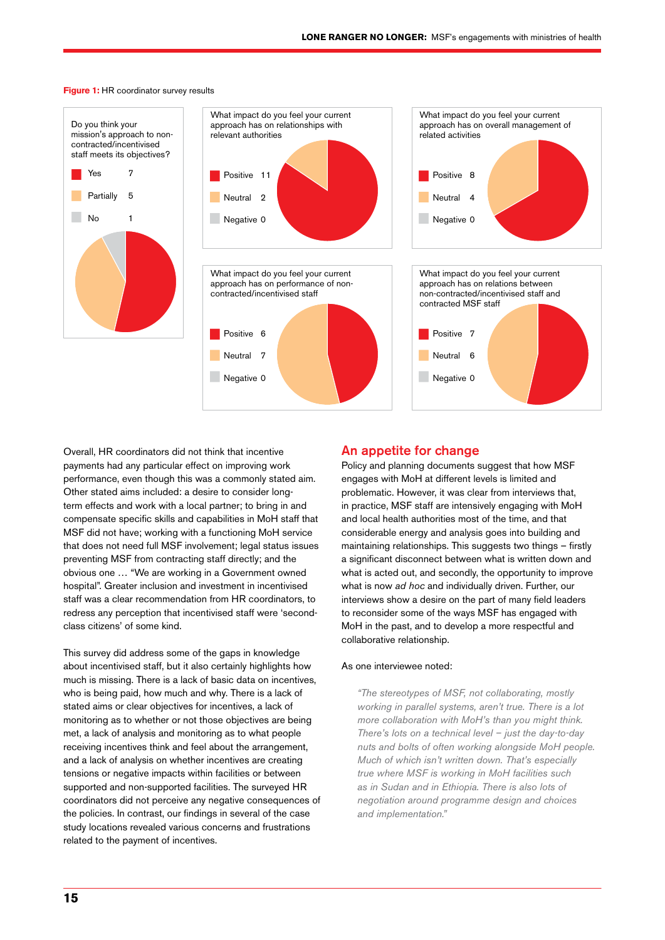

**Figure 1:** HR coordinator survey results

Overall, HR coordinators did not think that incentive payments had any particular effect on improving work performance, even though this was a commonly stated aim. Other stated aims included: a desire to consider longterm effects and work with a local partner; to bring in and compensate specific skills and capabilities in MoH staff that MSF did not have; working with a functioning MoH service that does not need full MSF involvement; legal status issues preventing MSF from contracting staff directly; and the obvious one … "We are working in a Government owned hospital". Greater inclusion and investment in incentivised staff was a clear recommendation from HR coordinators, to redress any perception that incentivised staff were 'secondclass citizens' of some kind.

This survey did address some of the gaps in knowledge about incentivised staff, but it also certainly highlights how much is missing. There is a lack of basic data on incentives, who is being paid, how much and why. There is a lack of stated aims or clear objectives for incentives, a lack of monitoring as to whether or not those objectives are being met, a lack of analysis and monitoring as to what people receiving incentives think and feel about the arrangement, and a lack of analysis on whether incentives are creating tensions or negative impacts within facilities or between supported and non-supported facilities. The surveyed HR coordinators did not perceive any negative consequences of the policies. In contrast, our findings in several of the case study locations revealed various concerns and frustrations related to the payment of incentives.

#### An appetite for change

Policy and planning documents suggest that how MSF engages with MoH at different levels is limited and problematic. However, it was clear from interviews that, in practice, MSF staff are intensively engaging with MoH and local health authorities most of the time, and that considerable energy and analysis goes into building and maintaining relationships. This suggests two things – firstly a significant disconnect between what is written down and what is acted out, and secondly, the opportunity to improve what is now *ad hoc* and individually driven. Further, our interviews show a desire on the part of many field leaders to reconsider some of the ways MSF has engaged with MoH in the past, and to develop a more respectful and collaborative relationship.

#### As one interviewee noted:

*"The stereotypes of MSF, not collaborating, mostly working in parallel systems, aren't true. There is a lot more collaboration with MoH's than you might think. There's lots on a technical level – just the day-to-day nuts and bolts of often working alongside MoH people. Much of which isn't written down. That's especially true where MSF is working in MoH facilities such as in Sudan and in Ethiopia. There is also lots of negotiation around programme design and choices and implementation."*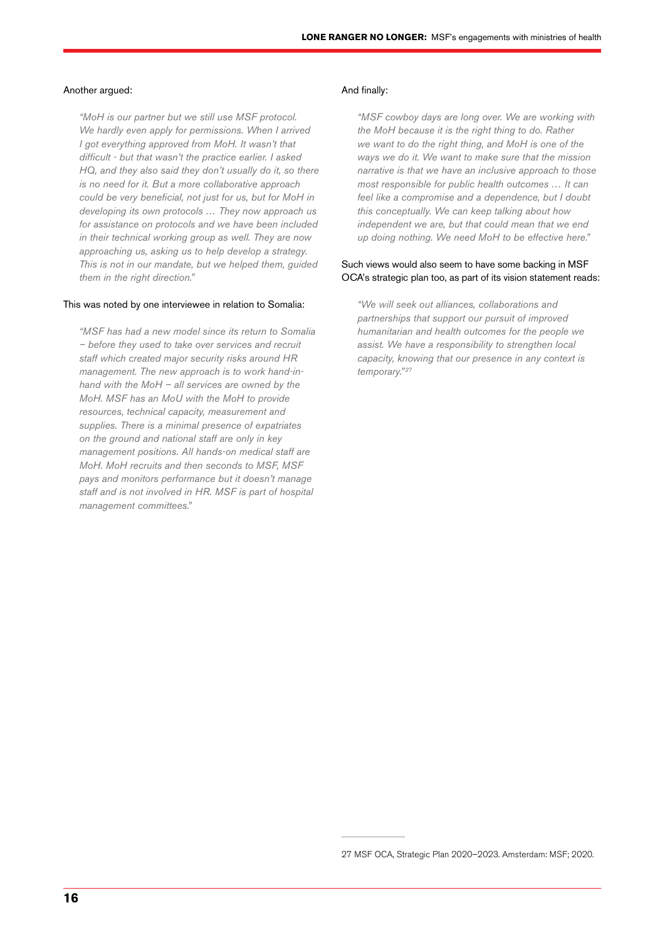#### Another argued:

*"MoH is our partner but we still use MSF protocol. We hardly even apply for permissions. When I arrived I got everything approved from MoH. It wasn't that difficult - but that wasn't the practice earlier. I asked HQ, and they also said they don't usually do it, so there is no need for it. But a more collaborative approach could be very beneficial, not just for us, but for MoH in developing its own protocols … They now approach us for assistance on protocols and we have been included in their technical working group as well. They are now approaching us, asking us to help develop a strategy. This is not in our mandate, but we helped them, guided them in the right direction."*

#### This was noted by one interviewee in relation to Somalia:

*"MSF has had a new model since its return to Somalia – before they used to take over services and recruit staff which created major security risks around HR management. The new approach is to work hand-inhand with the MoH – all services are owned by the MoH. MSF has an MoU with the MoH to provide resources, technical capacity, measurement and supplies. There is a minimal presence of expatriates on the ground and national staff are only in key management positions. All hands-on medical staff are MoH. MoH recruits and then seconds to MSF, MSF pays and monitors performance but it doesn't manage staff and is not involved in HR. MSF is part of hospital management committees."*

#### And finally:

*"MSF cowboy days are long over. We are working with the MoH because it is the right thing to do. Rather we want to do the right thing, and MoH is one of the ways we do it. We want to make sure that the mission narrative is that we have an inclusive approach to those most responsible for public health outcomes … It can feel like a compromise and a dependence, but I doubt this conceptually. We can keep talking about how independent we are, but that could mean that we end up doing nothing. We need MoH to be effective here."*

#### Such views would also seem to have some backing in MSF OCA's strategic plan too, as part of its vision statement reads:

*"We will seek out alliances, collaborations and partnerships that support our pursuit of improved humanitarian and health outcomes for the people we assist. We have a responsibility to strengthen local capacity, knowing that our presence in any context is temporary." <sup>27</sup>*

<sup>27</sup> MSF OCA, Strategic Plan 2020–2023. Amsterdam: MSF; 2020.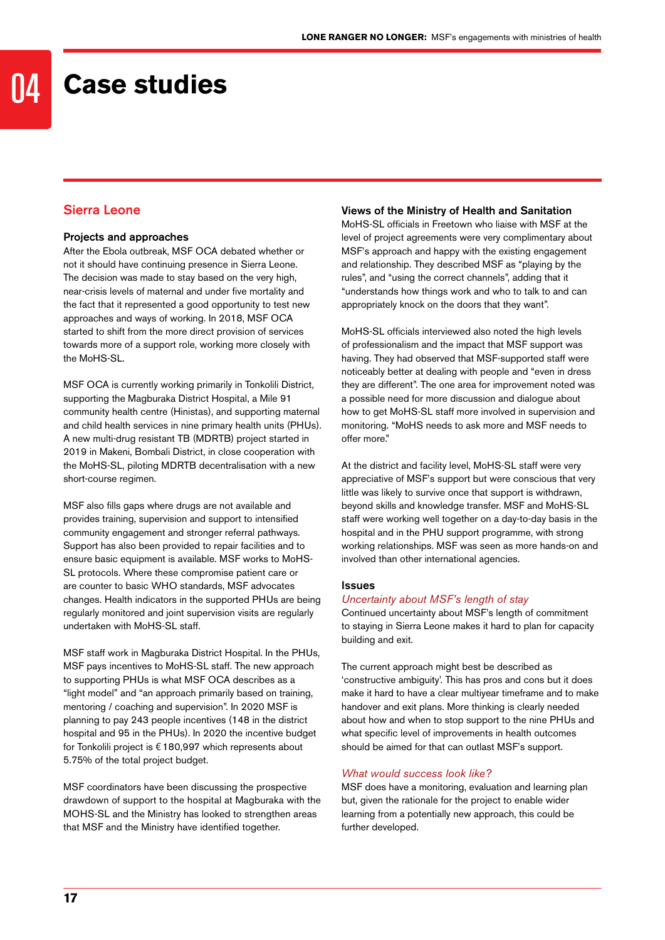### 04 **Case studies**

#### Sierra Leone

#### Projects and approaches

After the Ebola outbreak, MSF OCA debated whether or not it should have continuing presence in Sierra Leone. The decision was made to stay based on the very high, near-crisis levels of maternal and under five mortality and the fact that it represented a good opportunity to test new approaches and ways of working. In 2018, MSF OCA started to shift from the more direct provision of services towards more of a support role, working more closely with the MoHS-SL.

MSF OCA is currently working primarily in Tonkolili District, supporting the Magburaka District Hospital, a Mile 91 community health centre (Hinistas), and supporting maternal and child health services in nine primary health units (PHUs). A new multi-drug resistant TB (MDRTB) project started in 2019 in Makeni, Bombali District, in close cooperation with the MoHS-SL, piloting MDRTB decentralisation with a new short-course regimen.

MSF also fills gaps where drugs are not available and provides training, supervision and support to intensified community engagement and stronger referral pathways. Support has also been provided to repair facilities and to ensure basic equipment is available. MSF works to MoHS-SL protocols. Where these compromise patient care or are counter to basic WHO standards, MSF advocates changes. Health indicators in the supported PHUs are being regularly monitored and joint supervision visits are regularly undertaken with MoHS-SL staff.

MSF staff work in Magburaka District Hospital. In the PHUs, MSF pays incentives to MoHS-SL staff. The new approach to supporting PHUs is what MSF OCA describes as a "light model" and "an approach primarily based on training, mentoring / coaching and supervision". In 2020 MSF is planning to pay 243 people incentives (148 in the district hospital and 95 in the PHUs). In 2020 the incentive budget for Tonkolili project is €180,997 which represents about 5.75% of the total project budget.

MSF coordinators have been discussing the prospective drawdown of support to the hospital at Magburaka with the MOHS-SL and the Ministry has looked to strengthen areas that MSF and the Ministry have identified together.

#### Views of the Ministry of Health and Sanitation

MoHS-SL officials in Freetown who liaise with MSF at the level of project agreements were very complimentary about MSF's approach and happy with the existing engagement and relationship. They described MSF as "playing by the rules", and "using the correct channels", adding that it "understands how things work and who to talk to and can appropriately knock on the doors that they want".

MoHS-SL officials interviewed also noted the high levels of professionalism and the impact that MSF support was having. They had observed that MSF-supported staff were noticeably better at dealing with people and "even in dress they are different". The one area for improvement noted was a possible need for more discussion and dialogue about how to get MoHS-SL staff more involved in supervision and monitoring. "MoHS needs to ask more and MSF needs to offer more."

At the district and facility level, MoHS-SL staff were very appreciative of MSF's support but were conscious that very little was likely to survive once that support is withdrawn, beyond skills and knowledge transfer. MSF and MoHS-SL staff were working well together on a day-to-day basis in the hospital and in the PHU support programme, with strong working relationships. MSF was seen as more hands-on and involved than other international agencies.

#### Issues

#### *Uncertainty about MSF's length of stay*

Continued uncertainty about MSF's length of commitment to staying in Sierra Leone makes it hard to plan for capacity building and exit.

The current approach might best be described as 'constructive ambiguity'. This has pros and cons but it does make it hard to have a clear multiyear timeframe and to make handover and exit plans. More thinking is clearly needed about how and when to stop support to the nine PHUs and what specific level of improvements in health outcomes should be aimed for that can outlast MSF's support.

#### *What would success look like?*

MSF does have a monitoring, evaluation and learning plan but, given the rationale for the project to enable wider learning from a potentially new approach, this could be further developed.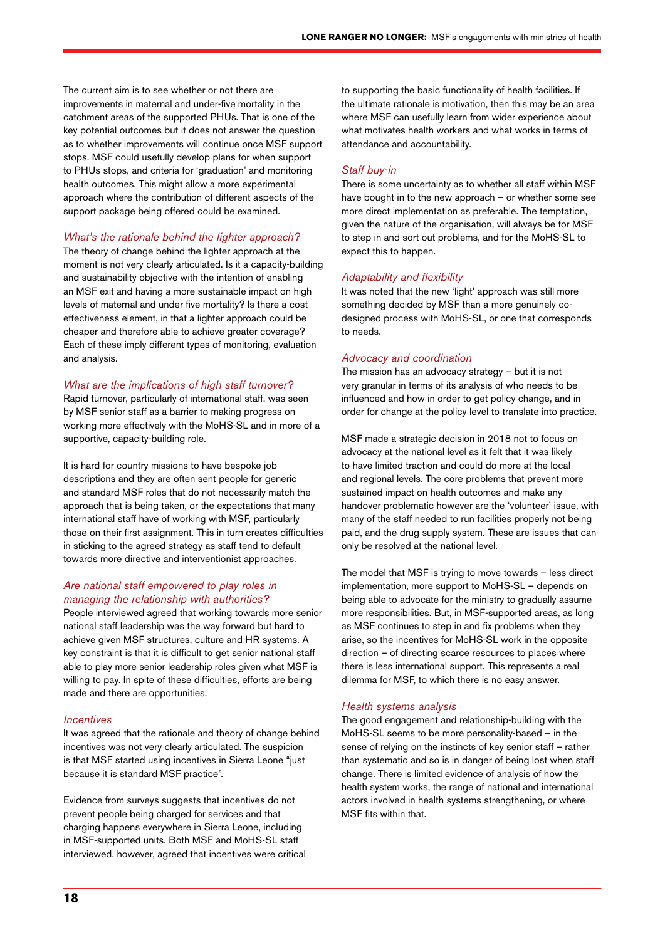The current aim is to see whether or not there are improvements in maternal and under-five mortality in the catchment areas of the supported PHUs. That is one of the key potential outcomes but it does not answer the question as to whether improvements will continue once MSF support stops. MSF could usefully develop plans for when support to PHUs stops, and criteria for 'graduation' and monitoring health outcomes. This might allow a more experimental approach where the contribution of different aspects of the support package being offered could be examined.

#### *What's the rationale behind the lighter approach?*

The theory of change behind the lighter approach at the moment is not very clearly articulated. Is it a capacity-building and sustainability objective with the intention of enabling an MSF exit and having a more sustainable impact on high levels of maternal and under five mortality? Is there a cost effectiveness element, in that a lighter approach could be cheaper and therefore able to achieve greater coverage? Each of these imply different types of monitoring, evaluation and analysis.

#### *What are the implications of high staff turnover?*

Rapid turnover, particularly of international staff, was seen by MSF senior staff as a barrier to making progress on working more effectively with the MoHS-SL and in more of a supportive, capacity-building role.

It is hard for country missions to have bespoke job descriptions and they are often sent people for generic and standard MSF roles that do not necessarily match the approach that is being taken, or the expectations that many international staff have of working with MSF, particularly those on their first assignment. This in turn creates difficulties in sticking to the agreed strategy as staff tend to default towards more directive and interventionist approaches.

#### *Are national staff empowered to play roles in managing the relationship with authorities?*

People interviewed agreed that working towards more senior national staff leadership was the way forward but hard to achieve given MSF structures, culture and HR systems. A key constraint is that it is difficult to get senior national staff able to play more senior leadership roles given what MSF is willing to pay. In spite of these difficulties, efforts are being made and there are opportunities.

#### *Incentives*

It was agreed that the rationale and theory of change behind incentives was not very clearly articulated. The suspicion is that MSF started using incentives in Sierra Leone "just because it is standard MSF practice".

Evidence from surveys suggests that incentives do not prevent people being charged for services and that charging happens everywhere in Sierra Leone, including in MSF-supported units. Both MSF and MoHS-SL staff interviewed, however, agreed that incentives were critical to supporting the basic functionality of health facilities. If the ultimate rationale is motivation, then this may be an area where MSF can usefully learn from wider experience about what motivates health workers and what works in terms of attendance and accountability.

#### *Staff buy-in*

There is some uncertainty as to whether all staff within MSF have bought in to the new approach – or whether some see more direct implementation as preferable. The temptation, given the nature of the organisation, will always be for MSF to step in and sort out problems, and for the MoHS-SL to expect this to happen.

#### *Adaptability and flexibility*

It was noted that the new 'light' approach was still more something decided by MSF than a more genuinely codesigned process with MoHS-SL, or one that corresponds to needs.

#### *Advocacy and coordination*

The mission has an advocacy strategy – but it is not very granular in terms of its analysis of who needs to be influenced and how in order to get policy change, and in order for change at the policy level to translate into practice.

MSF made a strategic decision in 2018 not to focus on advocacy at the national level as it felt that it was likely to have limited traction and could do more at the local and regional levels. The core problems that prevent more sustained impact on health outcomes and make any handover problematic however are the 'volunteer' issue, with many of the staff needed to run facilities properly not being paid, and the drug supply system. These are issues that can only be resolved at the national level.

The model that MSF is trying to move towards – less direct implementation, more support to MoHS-SL – depends on being able to advocate for the ministry to gradually assume more responsibilities. But, in MSF-supported areas, as long as MSF continues to step in and fix problems when they arise, so the incentives for MoHS-SL work in the opposite direction – of directing scarce resources to places where there is less international support. This represents a real dilemma for MSF, to which there is no easy answer.

#### *Health systems analysis*

The good engagement and relationship-building with the MoHS-SL seems to be more personality-based – in the sense of relying on the instincts of key senior staff – rather than systematic and so is in danger of being lost when staff change. There is limited evidence of analysis of how the health system works, the range of national and international actors involved in health systems strengthening, or where MSF fits within that.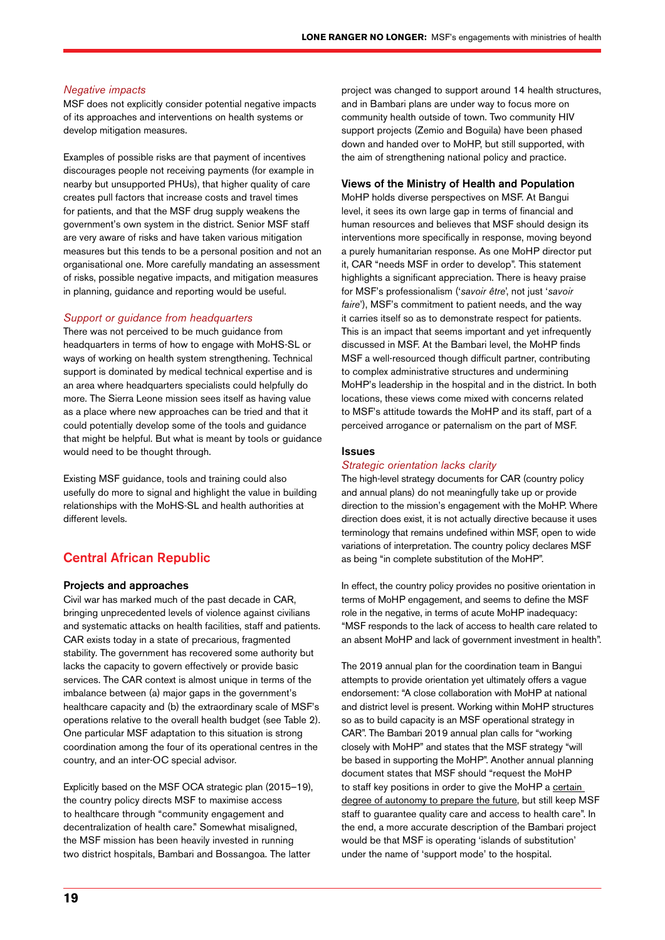#### *Negative impacts*

MSF does not explicitly consider potential negative impacts of its approaches and interventions on health systems or develop mitigation measures.

Examples of possible risks are that payment of incentives discourages people not receiving payments (for example in nearby but unsupported PHUs), that higher quality of care creates pull factors that increase costs and travel times for patients, and that the MSF drug supply weakens the government's own system in the district. Senior MSF staff are very aware of risks and have taken various mitigation measures but this tends to be a personal position and not an organisational one. More carefully mandating an assessment of risks, possible negative impacts, and mitigation measures in planning, guidance and reporting would be useful.

#### *Support or guidance from headquarters*

There was not perceived to be much guidance from headquarters in terms of how to engage with MoHS-SL or ways of working on health system strengthening. Technical support is dominated by medical technical expertise and is an area where headquarters specialists could helpfully do more. The Sierra Leone mission sees itself as having value as a place where new approaches can be tried and that it could potentially develop some of the tools and guidance that might be helpful. But what is meant by tools or guidance would need to be thought through.

Existing MSF guidance, tools and training could also usefully do more to signal and highlight the value in building relationships with the MoHS-SL and health authorities at different levels.

#### Central African Republic

#### Projects and approaches

Civil war has marked much of the past decade in CAR, bringing unprecedented levels of violence against civilians and systematic attacks on health facilities, staff and patients. CAR exists today in a state of precarious, fragmented stability. The government has recovered some authority but lacks the capacity to govern effectively or provide basic services. The CAR context is almost unique in terms of the imbalance between (a) major gaps in the government's healthcare capacity and (b) the extraordinary scale of MSF's operations relative to the overall health budget (see Table 2). One particular MSF adaptation to this situation is strong coordination among the four of its operational centres in the country, and an inter-OC special advisor.

Explicitly based on the MSF OCA strategic plan (2015–19), the country policy directs MSF to maximise access to healthcare through "community engagement and decentralization of health care." Somewhat misaligned, the MSF mission has been heavily invested in running two district hospitals, Bambari and Bossangoa. The latter

project was changed to support around 14 health structures, and in Bambari plans are under way to focus more on community health outside of town. Two community HIV support projects (Zemio and Boguila) have been phased down and handed over to MoHP, but still supported, with the aim of strengthening national policy and practice.

#### Views of the Ministry of Health and Population

MoHP holds diverse perspectives on MSF. At Bangui level, it sees its own large gap in terms of financial and human resources and believes that MSF should design its interventions more specifically in response, moving beyond a purely humanitarian response. As one MoHP director put it, CAR "needs MSF in order to develop". This statement highlights a significant appreciation. There is heavy praise for MSF's professionalism ('*savoir être*', not just '*savoir faire*'), MSF's commitment to patient needs, and the way it carries itself so as to demonstrate respect for patients. This is an impact that seems important and yet infrequently discussed in MSF. At the Bambari level, the MoHP finds MSF a well-resourced though difficult partner, contributing to complex administrative structures and undermining MoHP's leadership in the hospital and in the district. In both locations, these views come mixed with concerns related to MSF's attitude towards the MoHP and its staff, part of a perceived arrogance or paternalism on the part of MSF.

#### Issues

#### *Strategic orientation lacks clarity*

The high-level strategy documents for CAR (country policy and annual plans) do not meaningfully take up or provide direction to the mission's engagement with the MoHP. Where direction does exist, it is not actually directive because it uses terminology that remains undefined within MSF, open to wide variations of interpretation. The country policy declares MSF as being "in complete substitution of the MoHP".

In effect, the country policy provides no positive orientation in terms of MoHP engagement, and seems to define the MSF role in the negative, in terms of acute MoHP inadequacy: "MSF responds to the lack of access to health care related to an absent MoHP and lack of government investment in health".

The 2019 annual plan for the coordination team in Bangui attempts to provide orientation yet ultimately offers a vague endorsement: "A close collaboration with MoHP at national and district level is present. Working within MoHP structures so as to build capacity is an MSF operational strategy in CAR". The Bambari 2019 annual plan calls for "working closely with MoHP" and states that the MSF strategy "will be based in supporting the MoHP". Another annual planning document states that MSF should "request the MoHP to staff key positions in order to give the MoHP a certain degree of autonomy to prepare the future, but still keep MSF staff to guarantee quality care and access to health care". In the end, a more accurate description of the Bambari project would be that MSF is operating 'islands of substitution' under the name of 'support mode' to the hospital.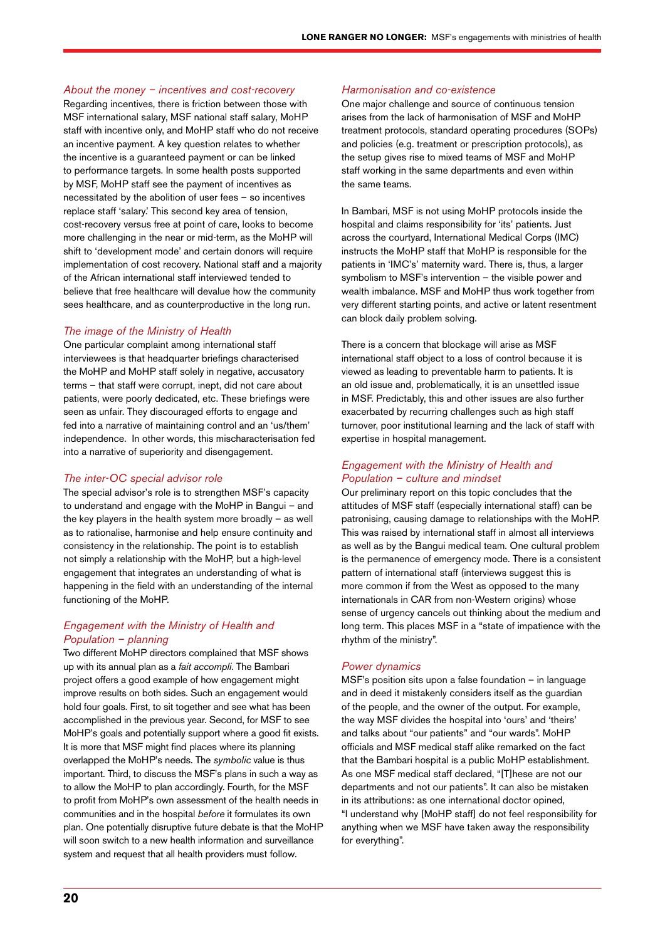#### *About the money – incentives and cost-recovery*

Regarding incentives, there is friction between those with MSF international salary, MSF national staff salary, MoHP staff with incentive only, and MoHP staff who do not receive an incentive payment. A key question relates to whether the incentive is a guaranteed payment or can be linked to performance targets. In some health posts supported by MSF, MoHP staff see the payment of incentives as necessitated by the abolition of user fees – so incentives replace staff 'salary.' This second key area of tension, cost-recovery versus free at point of care, looks to become more challenging in the near or mid-term, as the MoHP will shift to 'development mode' and certain donors will require implementation of cost recovery. National staff and a majority of the African international staff interviewed tended to believe that free healthcare will devalue how the community sees healthcare, and as counterproductive in the long run.

#### *The image of the Ministry of Health*

One particular complaint among international staff interviewees is that headquarter briefings characterised the MoHP and MoHP staff solely in negative, accusatory terms – that staff were corrupt, inept, did not care about patients, were poorly dedicated, etc. These briefings were seen as unfair. They discouraged efforts to engage and fed into a narrative of maintaining control and an 'us/them' independence. In other words, this mischaracterisation fed into a narrative of superiority and disengagement.

#### *The inter-OC special advisor role*

The special advisor's role is to strengthen MSF's capacity to understand and engage with the MoHP in Bangui – and the key players in the health system more broadly – as well as to rationalise, harmonise and help ensure continuity and consistency in the relationship. The point is to establish not simply a relationship with the MoHP, but a high-level engagement that integrates an understanding of what is happening in the field with an understanding of the internal functioning of the MoHP.

#### *Engagement with the Ministry of Health and Population – planning*

Two different MoHP directors complained that MSF shows up with its annual plan as a *fait accompli*. The Bambari project offers a good example of how engagement might improve results on both sides. Such an engagement would hold four goals. First, to sit together and see what has been accomplished in the previous year. Second, for MSF to see MoHP's goals and potentially support where a good fit exists. It is more that MSF might find places where its planning overlapped the MoHP's needs. The *symbolic* value is thus important. Third, to discuss the MSF's plans in such a way as to allow the MoHP to plan accordingly. Fourth, for the MSF to profit from MoHP's own assessment of the health needs in communities and in the hospital *before* it formulates its own plan. One potentially disruptive future debate is that the MoHP will soon switch to a new health information and surveillance system and request that all health providers must follow.

#### *Harmonisation and co-existence*

One major challenge and source of continuous tension arises from the lack of harmonisation of MSF and MoHP treatment protocols, standard operating procedures (SOPs) and policies (e.g. treatment or prescription protocols), as the setup gives rise to mixed teams of MSF and MoHP staff working in the same departments and even within the same teams.

In Bambari, MSF is not using MoHP protocols inside the hospital and claims responsibility for 'its' patients. Just across the courtyard, International Medical Corps (IMC) instructs the MoHP staff that MoHP is responsible for the patients in 'IMC's' maternity ward. There is, thus, a larger symbolism to MSF's intervention – the visible power and wealth imbalance. MSF and MoHP thus work together from very different starting points, and active or latent resentment can block daily problem solving.

There is a concern that blockage will arise as MSF international staff object to a loss of control because it is viewed as leading to preventable harm to patients. It is an old issue and, problematically, it is an unsettled issue in MSF. Predictably, this and other issues are also further exacerbated by recurring challenges such as high staff turnover, poor institutional learning and the lack of staff with expertise in hospital management.

#### *Engagement with the Ministry of Health and Population – culture and mindset*

Our preliminary report on this topic concludes that the attitudes of MSF staff (especially international staff) can be patronising, causing damage to relationships with the MoHP. This was raised by international staff in almost all interviews as well as by the Bangui medical team. One cultural problem is the permanence of emergency mode. There is a consistent pattern of international staff (interviews suggest this is more common if from the West as opposed to the many internationals in CAR from non-Western origins) whose sense of urgency cancels out thinking about the medium and long term. This places MSF in a "state of impatience with the rhythm of the ministry".

#### *Power dynamics*

MSF's position sits upon a false foundation – in language and in deed it mistakenly considers itself as the guardian of the people, and the owner of the output. For example, the way MSF divides the hospital into 'ours' and 'theirs' and talks about "our patients" and "our wards". MoHP officials and MSF medical staff alike remarked on the fact that the Bambari hospital is a public MoHP establishment. As one MSF medical staff declared, "[T]hese are not our departments and not our patients". It can also be mistaken in its attributions: as one international doctor opined, "I understand why [MoHP staff] do not feel responsibility for anything when we MSF have taken away the responsibility for everything".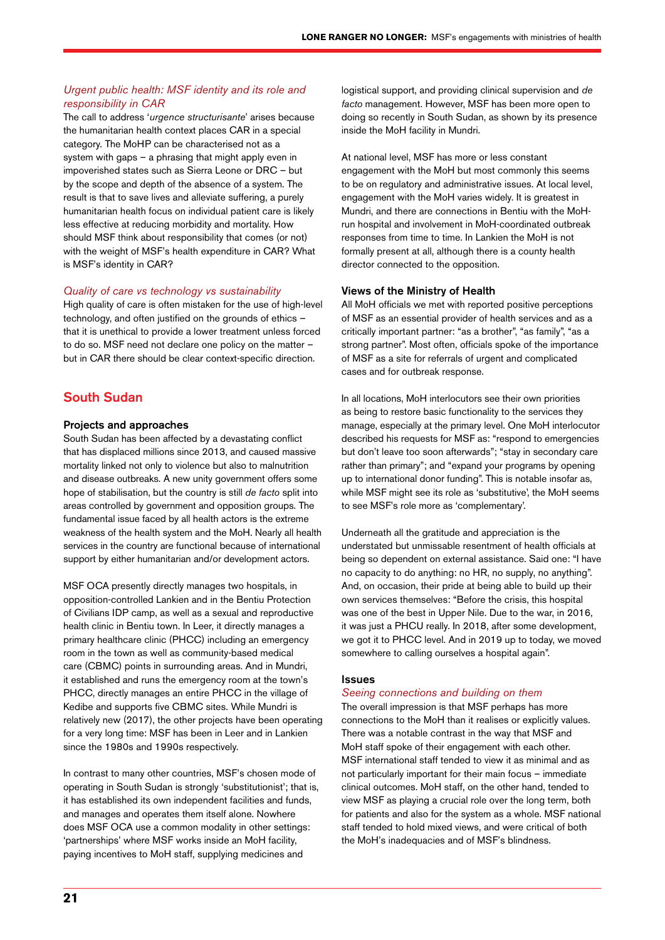#### *Urgent public health: MSF identity and its role and responsibility in CAR*

The call to address '*urgence structurisante*' arises because the humanitarian health context places CAR in a special category. The MoHP can be characterised not as a system with gaps – a phrasing that might apply even in impoverished states such as Sierra Leone or DRC – but by the scope and depth of the absence of a system. The result is that to save lives and alleviate suffering, a purely humanitarian health focus on individual patient care is likely less effective at reducing morbidity and mortality. How should MSF think about responsibility that comes (or not) with the weight of MSF's health expenditure in CAR? What is MSF's identity in CAR?

#### *Quality of care vs technology vs sustainability*

High quality of care is often mistaken for the use of high-level technology, and often justified on the grounds of ethics – that it is unethical to provide a lower treatment unless forced to do so. MSF need not declare one policy on the matter – but in CAR there should be clear context-specific direction.

#### South Sudan

#### Projects and approaches

South Sudan has been affected by a devastating conflict that has displaced millions since 2013, and caused massive mortality linked not only to violence but also to malnutrition and disease outbreaks. A new unity government offers some hope of stabilisation, but the country is still *de facto* split into areas controlled by government and opposition groups. The fundamental issue faced by all health actors is the extreme weakness of the health system and the MoH. Nearly all health services in the country are functional because of international support by either humanitarian and/or development actors.

MSF OCA presently directly manages two hospitals, in opposition-controlled Lankien and in the Bentiu Protection of Civilians IDP camp, as well as a sexual and reproductive health clinic in Bentiu town. In Leer, it directly manages a primary healthcare clinic (PHCC) including an emergency room in the town as well as community-based medical care (CBMC) points in surrounding areas. And in Mundri, it established and runs the emergency room at the town's PHCC, directly manages an entire PHCC in the village of Kedibe and supports five CBMC sites. While Mundri is relatively new (2017), the other projects have been operating for a very long time: MSF has been in Leer and in Lankien since the 1980s and 1990s respectively.

In contrast to many other countries, MSF's chosen mode of operating in South Sudan is strongly 'substitutionist'; that is, it has established its own independent facilities and funds, and manages and operates them itself alone. Nowhere does MSF OCA use a common modality in other settings: 'partnerships' where MSF works inside an MoH facility, paying incentives to MoH staff, supplying medicines and

logistical support, and providing clinical supervision and *de facto* management. However, MSF has been more open to doing so recently in South Sudan, as shown by its presence inside the MoH facility in Mundri.

At national level, MSF has more or less constant engagement with the MoH but most commonly this seems to be on regulatory and administrative issues. At local level, engagement with the MoH varies widely. It is greatest in Mundri, and there are connections in Bentiu with the MoHrun hospital and involvement in MoH-coordinated outbreak responses from time to time. In Lankien the MoH is not formally present at all, although there is a county health director connected to the opposition.

#### Views of the Ministry of Health

All MoH officials we met with reported positive perceptions of MSF as an essential provider of health services and as a critically important partner: "as a brother", "as family", "as a strong partner". Most often, officials spoke of the importance of MSF as a site for referrals of urgent and complicated cases and for outbreak response.

In all locations, MoH interlocutors see their own priorities as being to restore basic functionality to the services they manage, especially at the primary level. One MoH interlocutor described his requests for MSF as: "respond to emergencies but don't leave too soon afterwards"; "stay in secondary care rather than primary"; and "expand your programs by opening up to international donor funding". This is notable insofar as, while MSF might see its role as 'substitutive', the MoH seems to see MSF's role more as 'complementary'.

Underneath all the gratitude and appreciation is the understated but unmissable resentment of health officials at being so dependent on external assistance. Said one: "I have no capacity to do anything: no HR, no supply, no anything". And, on occasion, their pride at being able to build up their own services themselves: "Before the crisis, this hospital was one of the best in Upper Nile. Due to the war, in 2016, it was just a PHCU really. In 2018, after some development, we got it to PHCC level. And in 2019 up to today, we moved somewhere to calling ourselves a hospital again".

#### Issues

#### *Seeing connections and building on them*

The overall impression is that MSF perhaps has more connections to the MoH than it realises or explicitly values. There was a notable contrast in the way that MSF and MoH staff spoke of their engagement with each other. MSF international staff tended to view it as minimal and as not particularly important for their main focus – immediate clinical outcomes. MoH staff, on the other hand, tended to view MSF as playing a crucial role over the long term, both for patients and also for the system as a whole. MSF national staff tended to hold mixed views, and were critical of both the MoH's inadequacies and of MSF's blindness.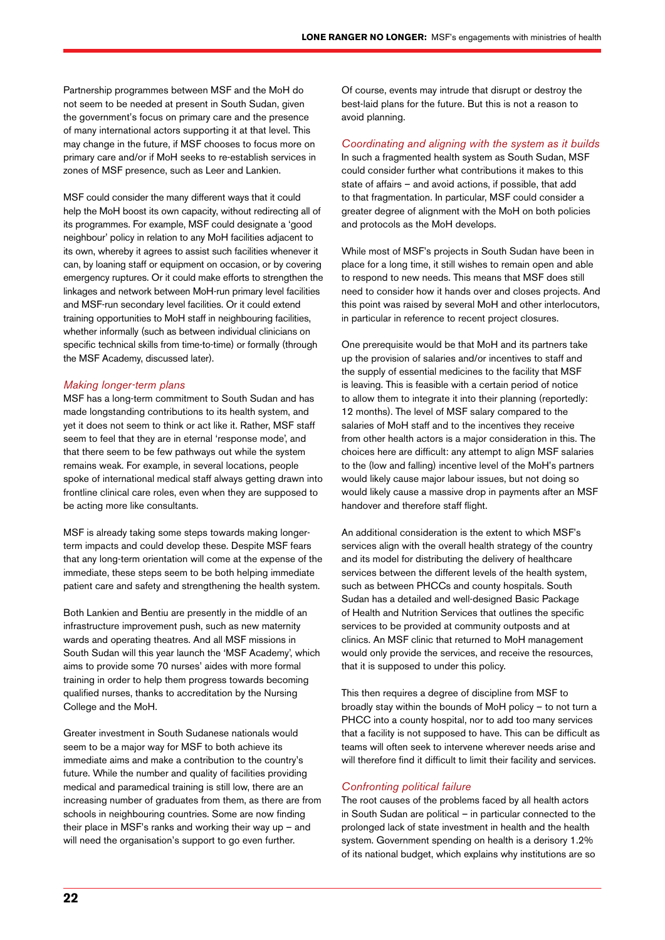Partnership programmes between MSF and the MoH do not seem to be needed at present in South Sudan, given the government's focus on primary care and the presence of many international actors supporting it at that level. This may change in the future, if MSF chooses to focus more on primary care and/or if MoH seeks to re-establish services in zones of MSF presence, such as Leer and Lankien.

MSF could consider the many different ways that it could help the MoH boost its own capacity, without redirecting all of its programmes. For example, MSF could designate a 'good neighbour' policy in relation to any MoH facilities adjacent to its own, whereby it agrees to assist such facilities whenever it can, by loaning staff or equipment on occasion, or by covering emergency ruptures. Or it could make efforts to strengthen the linkages and network between MoH-run primary level facilities and MSF-run secondary level facilities. Or it could extend training opportunities to MoH staff in neighbouring facilities, whether informally (such as between individual clinicians on specific technical skills from time-to-time) or formally (through the MSF Academy, discussed later).

#### *Making longer-term plans*

MSF has a long-term commitment to South Sudan and has made longstanding contributions to its health system, and yet it does not seem to think or act like it. Rather, MSF staff seem to feel that they are in eternal 'response mode', and that there seem to be few pathways out while the system remains weak. For example, in several locations, people spoke of international medical staff always getting drawn into frontline clinical care roles, even when they are supposed to be acting more like consultants.

MSF is already taking some steps towards making longerterm impacts and could develop these. Despite MSF fears that any long-term orientation will come at the expense of the immediate, these steps seem to be both helping immediate patient care and safety and strengthening the health system.

Both Lankien and Bentiu are presently in the middle of an infrastructure improvement push, such as new maternity wards and operating theatres. And all MSF missions in South Sudan will this year launch the 'MSF Academy', which aims to provide some 70 nurses' aides with more formal training in order to help them progress towards becoming qualified nurses, thanks to accreditation by the Nursing College and the MoH.

Greater investment in South Sudanese nationals would seem to be a major way for MSF to both achieve its immediate aims and make a contribution to the country's future. While the number and quality of facilities providing medical and paramedical training is still low, there are an increasing number of graduates from them, as there are from schools in neighbouring countries. Some are now finding their place in MSF's ranks and working their way up – and will need the organisation's support to go even further.

Of course, events may intrude that disrupt or destroy the best-laid plans for the future. But this is not a reason to avoid planning.

#### *Coordinating and aligning with the system as it builds*

In such a fragmented health system as South Sudan, MSF could consider further what contributions it makes to this state of affairs – and avoid actions, if possible, that add to that fragmentation. In particular, MSF could consider a greater degree of alignment with the MoH on both policies and protocols as the MoH develops.

While most of MSF's projects in South Sudan have been in place for a long time, it still wishes to remain open and able to respond to new needs. This means that MSF does still need to consider how it hands over and closes projects. And this point was raised by several MoH and other interlocutors, in particular in reference to recent project closures.

One prerequisite would be that MoH and its partners take up the provision of salaries and/or incentives to staff and the supply of essential medicines to the facility that MSF is leaving. This is feasible with a certain period of notice to allow them to integrate it into their planning (reportedly: 12 months). The level of MSF salary compared to the salaries of MoH staff and to the incentives they receive from other health actors is a major consideration in this. The choices here are difficult: any attempt to align MSF salaries to the (low and falling) incentive level of the MoH's partners would likely cause major labour issues, but not doing so would likely cause a massive drop in payments after an MSF handover and therefore staff flight.

An additional consideration is the extent to which MSF's services align with the overall health strategy of the country and its model for distributing the delivery of healthcare services between the different levels of the health system, such as between PHCCs and county hospitals. South Sudan has a detailed and well-designed Basic Package of Health and Nutrition Services that outlines the specific services to be provided at community outposts and at clinics. An MSF clinic that returned to MoH management would only provide the services, and receive the resources, that it is supposed to under this policy.

This then requires a degree of discipline from MSF to broadly stay within the bounds of MoH policy – to not turn a PHCC into a county hospital, nor to add too many services that a facility is not supposed to have. This can be difficult as teams will often seek to intervene wherever needs arise and will therefore find it difficult to limit their facility and services.

#### *Confronting political failure*

The root causes of the problems faced by all health actors in South Sudan are political – in particular connected to the prolonged lack of state investment in health and the health system. Government spending on health is a derisory 1.2% of its national budget, which explains why institutions are so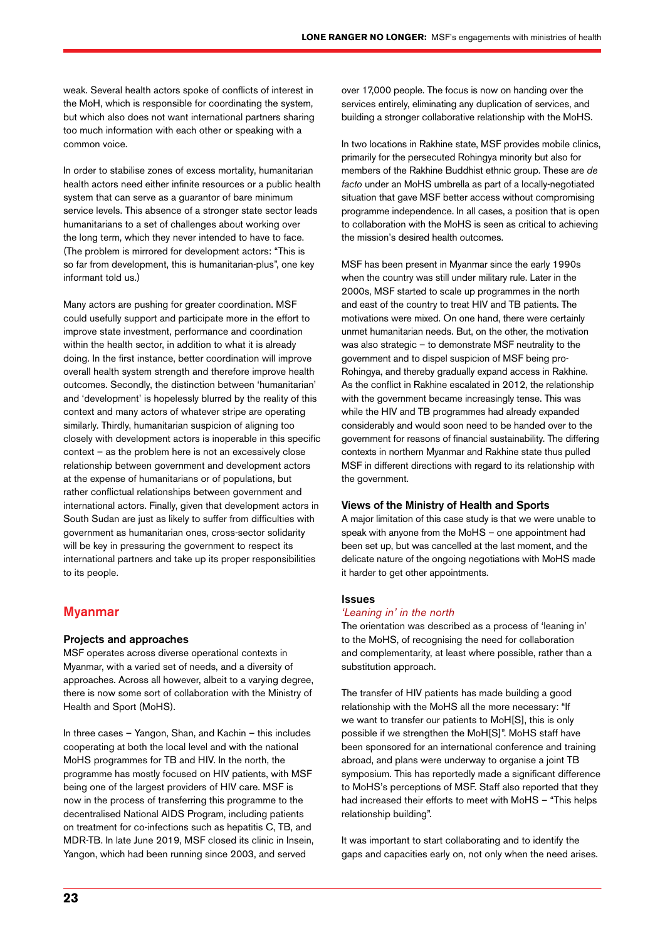weak. Several health actors spoke of conflicts of interest in the MoH, which is responsible for coordinating the system, but which also does not want international partners sharing too much information with each other or speaking with a common voice.

In order to stabilise zones of excess mortality, humanitarian health actors need either infinite resources or a public health system that can serve as a guarantor of bare minimum service levels. This absence of a stronger state sector leads humanitarians to a set of challenges about working over the long term, which they never intended to have to face. (The problem is mirrored for development actors: "This is so far from development, this is humanitarian-plus", one key informant told us.)

Many actors are pushing for greater coordination. MSF could usefully support and participate more in the effort to improve state investment, performance and coordination within the health sector, in addition to what it is already doing. In the first instance, better coordination will improve overall health system strength and therefore improve health outcomes. Secondly, the distinction between 'humanitarian' and 'development' is hopelessly blurred by the reality of this context and many actors of whatever stripe are operating similarly. Thirdly, humanitarian suspicion of aligning too closely with development actors is inoperable in this specific context – as the problem here is not an excessively close relationship between government and development actors at the expense of humanitarians or of populations, but rather conflictual relationships between government and international actors. Finally, given that development actors in South Sudan are just as likely to suffer from difficulties with government as humanitarian ones, cross-sector solidarity will be key in pressuring the government to respect its international partners and take up its proper responsibilities to its people.

#### Myanmar

#### Projects and approaches

MSF operates across diverse operational contexts in Myanmar, with a varied set of needs, and a diversity of approaches. Across all however, albeit to a varying degree, there is now some sort of collaboration with the Ministry of Health and Sport (MoHS).

In three cases – Yangon, Shan, and Kachin – this includes cooperating at both the local level and with the national MoHS programmes for TB and HIV. In the north, the programme has mostly focused on HIV patients, with MSF being one of the largest providers of HIV care. MSF is now in the process of transferring this programme to the decentralised National AIDS Program, including patients on treatment for co-infections such as hepatitis C, TB, and MDR-TB. In late June 2019, MSF closed its clinic in Insein, Yangon, which had been running since 2003, and served

over 17,000 people. The focus is now on handing over the services entirely, eliminating any duplication of services, and building a stronger collaborative relationship with the MoHS.

In two locations in Rakhine state, MSF provides mobile clinics, primarily for the persecuted Rohingya minority but also for members of the Rakhine Buddhist ethnic group. These are *de facto* under an MoHS umbrella as part of a locally-negotiated situation that gave MSF better access without compromising programme independence. In all cases, a position that is open to collaboration with the MoHS is seen as critical to achieving the mission's desired health outcomes.

MSF has been present in Myanmar since the early 1990s when the country was still under military rule. Later in the 2000s, MSF started to scale up programmes in the north and east of the country to treat HIV and TB patients. The motivations were mixed. On one hand, there were certainly unmet humanitarian needs. But, on the other, the motivation was also strategic – to demonstrate MSF neutrality to the government and to dispel suspicion of MSF being pro-Rohingya, and thereby gradually expand access in Rakhine. As the conflict in Rakhine escalated in 2012, the relationship with the government became increasingly tense. This was while the HIV and TB programmes had already expanded considerably and would soon need to be handed over to the government for reasons of financial sustainability. The differing contexts in northern Myanmar and Rakhine state thus pulled MSF in different directions with regard to its relationship with the government.

#### Views of the Ministry of Health and Sports

A major limitation of this case study is that we were unable to speak with anyone from the MoHS – one appointment had been set up, but was cancelled at the last moment, and the delicate nature of the ongoing negotiations with MoHS made it harder to get other appointments.

#### Issues

#### *'Leaning in' in the north*

The orientation was described as a process of 'leaning in' to the MoHS, of recognising the need for collaboration and complementarity, at least where possible, rather than a substitution approach.

The transfer of HIV patients has made building a good relationship with the MoHS all the more necessary: "If we want to transfer our patients to MoH[S], this is only possible if we strengthen the MoH[S]". MoHS staff have been sponsored for an international conference and training abroad, and plans were underway to organise a joint TB symposium. This has reportedly made a significant difference to MoHS's perceptions of MSF. Staff also reported that they had increased their efforts to meet with MoHS – "This helps relationship building".

It was important to start collaborating and to identify the gaps and capacities early on, not only when the need arises.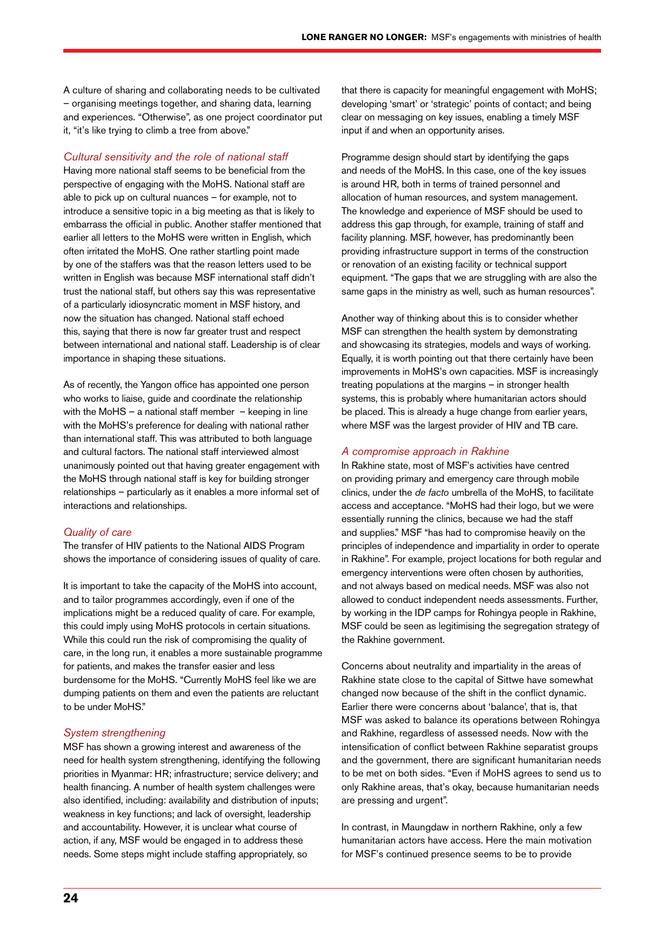A culture of sharing and collaborating needs to be cultivated – organising meetings together, and sharing data, learning and experiences. "Otherwise", as one project coordinator put it, "it's like trying to climb a tree from above."

#### *Cultural sensitivity and the role of national staff*

Having more national staff seems to be beneficial from the perspective of engaging with the MoHS. National staff are able to pick up on cultural nuances – for example, not to introduce a sensitive topic in a big meeting as that is likely to embarrass the official in public. Another staffer mentioned that earlier all letters to the MoHS were written in English, which often irritated the MoHS. One rather startling point made by one of the staffers was that the reason letters used to be written in English was because MSF international staff didn't trust the national staff, but others say this was representative of a particularly idiosyncratic moment in MSF history, and now the situation has changed. National staff echoed this, saying that there is now far greater trust and respect between international and national staff. Leadership is of clear importance in shaping these situations.

As of recently, the Yangon office has appointed one person who works to liaise, guide and coordinate the relationship with the MoHS – a national staff member – keeping in line with the MoHS's preference for dealing with national rather than international staff. This was attributed to both language and cultural factors. The national staff interviewed almost unanimously pointed out that having greater engagement with the MoHS through national staff is key for building stronger relationships – particularly as it enables a more informal set of interactions and relationships.

#### *Quality of care*

The transfer of HIV patients to the National AIDS Program shows the importance of considering issues of quality of care.

It is important to take the capacity of the MoHS into account, and to tailor programmes accordingly, even if one of the implications might be a reduced quality of care. For example, this could imply using MoHS protocols in certain situations. While this could run the risk of compromising the quality of care, in the long run, it enables a more sustainable programme for patients, and makes the transfer easier and less burdensome for the MoHS. "Currently MoHS feel like we are dumping patients on them and even the patients are reluctant to be under MoHS."

#### *System strengthening*

MSF has shown a growing interest and awareness of the need for health system strengthening, identifying the following priorities in Myanmar: HR; infrastructure; service delivery; and health financing. A number of health system challenges were also identified, including: availability and distribution of inputs; weakness in key functions; and lack of oversight, leadership and accountability. However, it is unclear what course of action, if any, MSF would be engaged in to address these needs. Some steps might include staffing appropriately, so

that there is capacity for meaningful engagement with MoHS; developing 'smart' or 'strategic' points of contact; and being clear on messaging on key issues, enabling a timely MSF input if and when an opportunity arises.

Programme design should start by identifying the gaps and needs of the MoHS. In this case, one of the key issues is around HR, both in terms of trained personnel and allocation of human resources, and system management. The knowledge and experience of MSF should be used to address this gap through, for example, training of staff and facility planning. MSF, however, has predominantly been providing infrastructure support in terms of the construction or renovation of an existing facility or technical support equipment. "The gaps that we are struggling with are also the same gaps in the ministry as well, such as human resources".

Another way of thinking about this is to consider whether MSF can strengthen the health system by demonstrating and showcasing its strategies, models and ways of working. Equally, it is worth pointing out that there certainly have been improvements in MoHS's own capacities. MSF is increasingly treating populations at the margins – in stronger health systems, this is probably where humanitarian actors should be placed. This is already a huge change from earlier years, where MSF was the largest provider of HIV and TB care.

#### *A compromise approach in Rakhine*

In Rakhine state, most of MSF's activities have centred on providing primary and emergency care through mobile clinics, under the *de facto* umbrella of the MoHS, to facilitate access and acceptance. "MoHS had their logo, but we were essentially running the clinics, because we had the staff and supplies." MSF "has had to compromise heavily on the principles of independence and impartiality in order to operate in Rakhine". For example, project locations for both regular and emergency interventions were often chosen by authorities, and not always based on medical needs. MSF was also not allowed to conduct independent needs assessments. Further, by working in the IDP camps for Rohingya people in Rakhine, MSF could be seen as legitimising the segregation strategy of the Rakhine government.

Concerns about neutrality and impartiality in the areas of Rakhine state close to the capital of Sittwe have somewhat changed now because of the shift in the conflict dynamic. Earlier there were concerns about 'balance', that is, that MSF was asked to balance its operations between Rohingya and Rakhine, regardless of assessed needs. Now with the intensification of conflict between Rakhine separatist groups and the government, there are significant humanitarian needs to be met on both sides. "Even if MoHS agrees to send us to only Rakhine areas, that's okay, because humanitarian needs are pressing and urgent".

In contrast, in Maungdaw in northern Rakhine, only a few humanitarian actors have access. Here the main motivation for MSF's continued presence seems to be to provide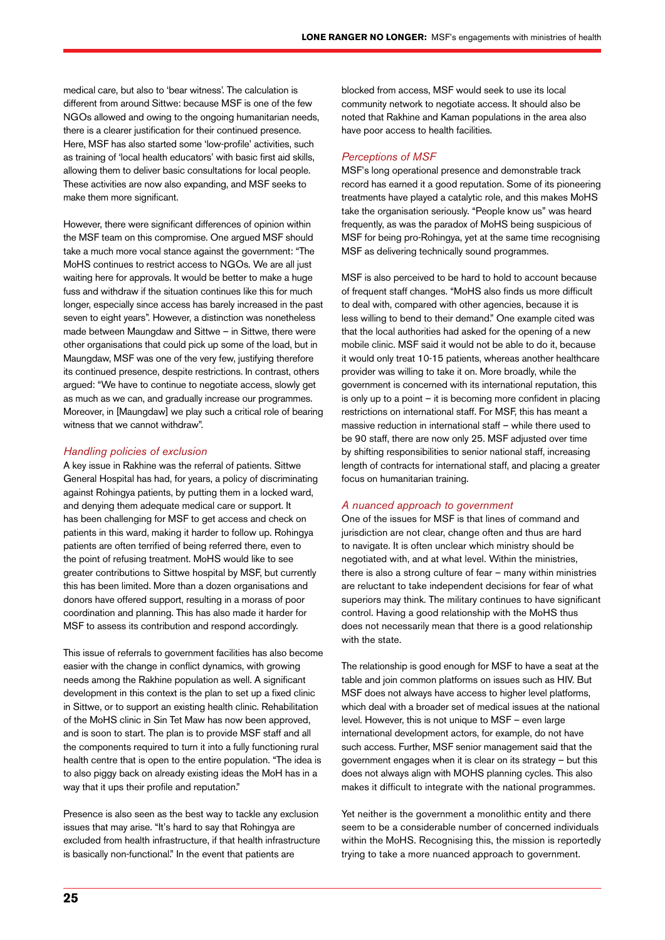medical care, but also to 'bear witness'. The calculation is different from around Sittwe: because MSF is one of the few NGOs allowed and owing to the ongoing humanitarian needs, there is a clearer justification for their continued presence. Here, MSF has also started some 'low-profile' activities, such as training of 'local health educators' with basic first aid skills, allowing them to deliver basic consultations for local people. These activities are now also expanding, and MSF seeks to make them more significant.

However, there were significant differences of opinion within the MSF team on this compromise. One argued MSF should take a much more vocal stance against the government: "The MoHS continues to restrict access to NGOs. We are all just waiting here for approvals. It would be better to make a huge fuss and withdraw if the situation continues like this for much longer, especially since access has barely increased in the past seven to eight years". However, a distinction was nonetheless made between Maungdaw and Sittwe – in Sittwe, there were other organisations that could pick up some of the load, but in Maungdaw, MSF was one of the very few, justifying therefore its continued presence, despite restrictions. In contrast, others argued: "We have to continue to negotiate access, slowly get as much as we can, and gradually increase our programmes. Moreover, in [Maungdaw] we play such a critical role of bearing witness that we cannot withdraw".

#### *Handling policies of exclusion*

A key issue in Rakhine was the referral of patients. Sittwe General Hospital has had, for years, a policy of discriminating against Rohingya patients, by putting them in a locked ward, and denying them adequate medical care or support. It has been challenging for MSF to get access and check on patients in this ward, making it harder to follow up. Rohingya patients are often terrified of being referred there, even to the point of refusing treatment. MoHS would like to see greater contributions to Sittwe hospital by MSF, but currently this has been limited. More than a dozen organisations and donors have offered support, resulting in a morass of poor coordination and planning. This has also made it harder for MSF to assess its contribution and respond accordingly.

This issue of referrals to government facilities has also become easier with the change in conflict dynamics, with growing needs among the Rakhine population as well. A significant development in this context is the plan to set up a fixed clinic in Sittwe, or to support an existing health clinic. Rehabilitation of the MoHS clinic in Sin Tet Maw has now been approved, and is soon to start. The plan is to provide MSF staff and all the components required to turn it into a fully functioning rural health centre that is open to the entire population. "The idea is to also piggy back on already existing ideas the MoH has in a way that it ups their profile and reputation."

Presence is also seen as the best way to tackle any exclusion issues that may arise. "It's hard to say that Rohingya are excluded from health infrastructure, if that health infrastructure is basically non-functional." In the event that patients are

blocked from access, MSF would seek to use its local community network to negotiate access. It should also be noted that Rakhine and Kaman populations in the area also have poor access to health facilities.

#### *Perceptions of MSF*

MSF's long operational presence and demonstrable track record has earned it a good reputation. Some of its pioneering treatments have played a catalytic role, and this makes MoHS take the organisation seriously. "People know us" was heard frequently, as was the paradox of MoHS being suspicious of MSF for being pro-Rohingya, yet at the same time recognising MSF as delivering technically sound programmes.

MSF is also perceived to be hard to hold to account because of frequent staff changes. "MoHS also finds us more difficult to deal with, compared with other agencies, because it is less willing to bend to their demand." One example cited was that the local authorities had asked for the opening of a new mobile clinic. MSF said it would not be able to do it, because it would only treat 10-15 patients, whereas another healthcare provider was willing to take it on. More broadly, while the government is concerned with its international reputation, this is only up to a point – it is becoming more confident in placing restrictions on international staff. For MSF, this has meant a massive reduction in international staff – while there used to be 90 staff, there are now only 25. MSF adjusted over time by shifting responsibilities to senior national staff, increasing length of contracts for international staff, and placing a greater focus on humanitarian training.

#### *A nuanced approach to government*

One of the issues for MSF is that lines of command and jurisdiction are not clear, change often and thus are hard to navigate. It is often unclear which ministry should be negotiated with, and at what level. Within the ministries, there is also a strong culture of fear – many within ministries are reluctant to take independent decisions for fear of what superiors may think. The military continues to have significant control. Having a good relationship with the MoHS thus does not necessarily mean that there is a good relationship with the state.

The relationship is good enough for MSF to have a seat at the table and join common platforms on issues such as HIV. But MSF does not always have access to higher level platforms, which deal with a broader set of medical issues at the national level. However, this is not unique to MSF – even large international development actors, for example, do not have such access. Further, MSF senior management said that the government engages when it is clear on its strategy – but this does not always align with MOHS planning cycles. This also makes it difficult to integrate with the national programmes.

Yet neither is the government a monolithic entity and there seem to be a considerable number of concerned individuals within the MoHS. Recognising this, the mission is reportedly trying to take a more nuanced approach to government.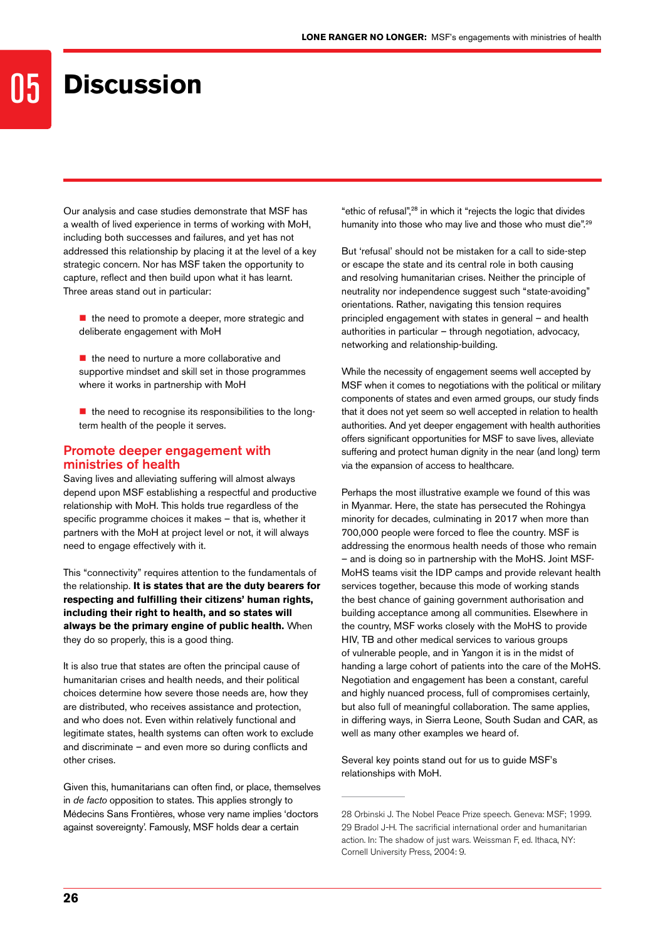### 05 **Discussion**

Our analysis and case studies demonstrate that MSF has a wealth of lived experience in terms of working with MoH, including both successes and failures, and yet has not addressed this relationship by placing it at the level of a key strategic concern. Nor has MSF taken the opportunity to capture, reflect and then build upon what it has learnt. Three areas stand out in particular:

- $\blacksquare$  the need to promote a deeper, more strategic and deliberate engagement with MoH
- $\blacksquare$  the need to nurture a more collaborative and supportive mindset and skill set in those programmes where it works in partnership with MoH
- $\blacksquare$  the need to recognise its responsibilities to the longterm health of the people it serves.

#### Promote deeper engagement with ministries of health

Saving lives and alleviating suffering will almost always depend upon MSF establishing a respectful and productive relationship with MoH. This holds true regardless of the specific programme choices it makes – that is, whether it partners with the MoH at project level or not, it will always need to engage effectively with it.

This "connectivity" requires attention to the fundamentals of the relationship. **It is states that are the duty bearers for respecting and fulfilling their citizens' human rights, including their right to health, and so states will always be the primary engine of public health.** When they do so properly, this is a good thing.

It is also true that states are often the principal cause of humanitarian crises and health needs, and their political choices determine how severe those needs are, how they are distributed, who receives assistance and protection, and who does not. Even within relatively functional and legitimate states, health systems can often work to exclude and discriminate – and even more so during conflicts and other crises.

Given this, humanitarians can often find, or place, themselves in *de facto* opposition to states. This applies strongly to Médecins Sans Frontières, whose very name implies 'doctors against sovereignty'. Famously, MSF holds dear a certain

"ethic of refusal",28 in which it "rejects the logic that divides humanity into those who may live and those who must die".<sup>29</sup>

But 'refusal' should not be mistaken for a call to side-step or escape the state and its central role in both causing and resolving humanitarian crises. Neither the principle of neutrality nor independence suggest such "state-avoiding" orientations. Rather, navigating this tension requires principled engagement with states in general – and health authorities in particular – through negotiation, advocacy, networking and relationship-building.

While the necessity of engagement seems well accepted by MSF when it comes to negotiations with the political or military components of states and even armed groups, our study finds that it does not yet seem so well accepted in relation to health authorities. And yet deeper engagement with health authorities offers significant opportunities for MSF to save lives, alleviate suffering and protect human dignity in the near (and long) term via the expansion of access to healthcare.

Perhaps the most illustrative example we found of this was in Myanmar. Here, the state has persecuted the Rohingya minority for decades, culminating in 2017 when more than 700,000 people were forced to flee the country. MSF is addressing the enormous health needs of those who remain – and is doing so in partnership with the MoHS. Joint MSF-MoHS teams visit the IDP camps and provide relevant health services together, because this mode of working stands the best chance of gaining government authorisation and building acceptance among all communities. Elsewhere in the country, MSF works closely with the MoHS to provide HIV, TB and other medical services to various groups of vulnerable people, and in Yangon it is in the midst of handing a large cohort of patients into the care of the MoHS. Negotiation and engagement has been a constant, careful and highly nuanced process, full of compromises certainly, but also full of meaningful collaboration. The same applies, in differing ways, in Sierra Leone, South Sudan and CAR, as well as many other examples we heard of.

Several key points stand out for us to guide MSF's relationships with MoH.

<sup>28</sup> Orbinski J. The Nobel Peace Prize speech. Geneva: MSF; 1999. 29 Bradol J-H. The sacrificial international order and humanitarian action. In: The shadow of just wars. Weissman F, ed. Ithaca, NY: Cornell University Press, 2004: 9.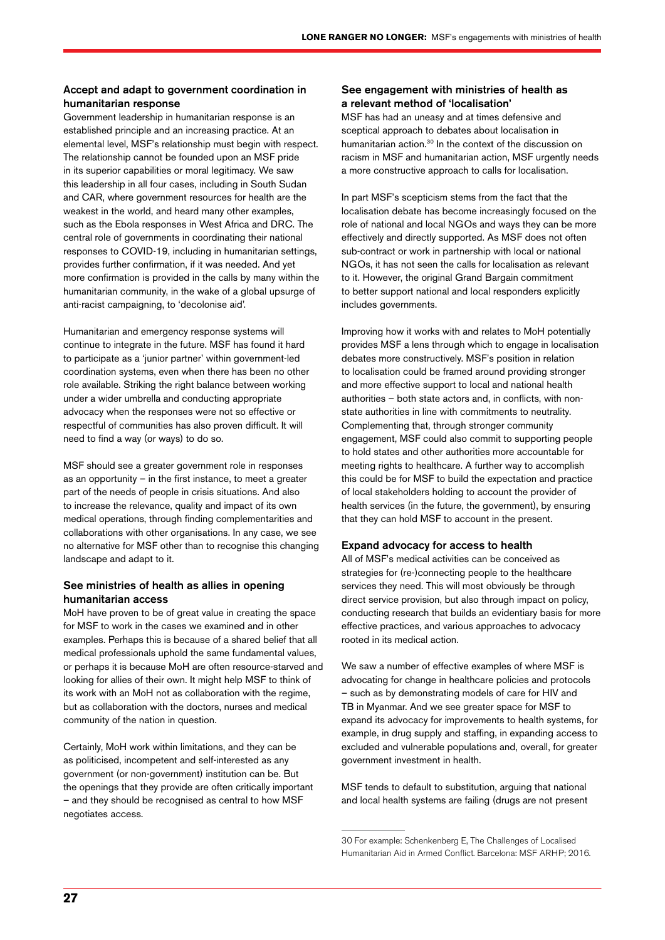#### Accept and adapt to government coordination in humanitarian response

Government leadership in humanitarian response is an established principle and an increasing practice. At an elemental level, MSF's relationship must begin with respect. The relationship cannot be founded upon an MSF pride in its superior capabilities or moral legitimacy. We saw this leadership in all four cases, including in South Sudan and CAR, where government resources for health are the weakest in the world, and heard many other examples, such as the Ebola responses in West Africa and DRC. The central role of governments in coordinating their national responses to COVID-19, including in humanitarian settings, provides further confirmation, if it was needed. And yet more confirmation is provided in the calls by many within the humanitarian community, in the wake of a global upsurge of anti-racist campaigning, to 'decolonise aid'.

Humanitarian and emergency response systems will continue to integrate in the future. MSF has found it hard to participate as a 'junior partner' within government-led coordination systems, even when there has been no other role available. Striking the right balance between working under a wider umbrella and conducting appropriate advocacy when the responses were not so effective or respectful of communities has also proven difficult. It will need to find a way (or ways) to do so.

MSF should see a greater government role in responses as an opportunity – in the first instance, to meet a greater part of the needs of people in crisis situations. And also to increase the relevance, quality and impact of its own medical operations, through finding complementarities and collaborations with other organisations. In any case, we see no alternative for MSF other than to recognise this changing landscape and adapt to it.

#### See ministries of health as allies in opening humanitarian access

MoH have proven to be of great value in creating the space for MSF to work in the cases we examined and in other examples. Perhaps this is because of a shared belief that all medical professionals uphold the same fundamental values, or perhaps it is because MoH are often resource-starved and looking for allies of their own. It might help MSF to think of its work with an MoH not as collaboration with the regime, but as collaboration with the doctors, nurses and medical community of the nation in question.

Certainly, MoH work within limitations, and they can be as politicised, incompetent and self-interested as any government (or non-government) institution can be. But the openings that they provide are often critically important – and they should be recognised as central to how MSF negotiates access.

#### See engagement with ministries of health as a relevant method of 'localisation'

MSF has had an uneasy and at times defensive and sceptical approach to debates about localisation in humanitarian action.<sup>30</sup> In the context of the discussion on racism in MSF and humanitarian action, MSF urgently needs a more constructive approach to calls for localisation.

In part MSF's scepticism stems from the fact that the localisation debate has become increasingly focused on the role of national and local NGOs and ways they can be more effectively and directly supported. As MSF does not often sub-contract or work in partnership with local or national NGOs, it has not seen the calls for localisation as relevant to it. However, the original Grand Bargain commitment to better support national and local responders explicitly includes governments.

Improving how it works with and relates to MoH potentially provides MSF a lens through which to engage in localisation debates more constructively. MSF's position in relation to localisation could be framed around providing stronger and more effective support to local and national health authorities – both state actors and, in conflicts, with nonstate authorities in line with commitments to neutrality. Complementing that, through stronger community engagement, MSF could also commit to supporting people to hold states and other authorities more accountable for meeting rights to healthcare. A further way to accomplish this could be for MSF to build the expectation and practice of local stakeholders holding to account the provider of health services (in the future, the government), by ensuring that they can hold MSF to account in the present.

#### Expand advocacy for access to health

All of MSF's medical activities can be conceived as strategies for (re-)connecting people to the healthcare services they need. This will most obviously be through direct service provision, but also through impact on policy, conducting research that builds an evidentiary basis for more effective practices, and various approaches to advocacy rooted in its medical action.

We saw a number of effective examples of where MSF is advocating for change in healthcare policies and protocols – such as by demonstrating models of care for HIV and TB in Myanmar. And we see greater space for MSF to expand its advocacy for improvements to health systems, for example, in drug supply and staffing, in expanding access to excluded and vulnerable populations and, overall, for greater government investment in health.

MSF tends to default to substitution, arguing that national and local health systems are failing (drugs are not present

<sup>30</sup> For example: Schenkenberg E, The Challenges of Localised Humanitarian Aid in Armed Conflict. Barcelona: MSF ARHP; 2016.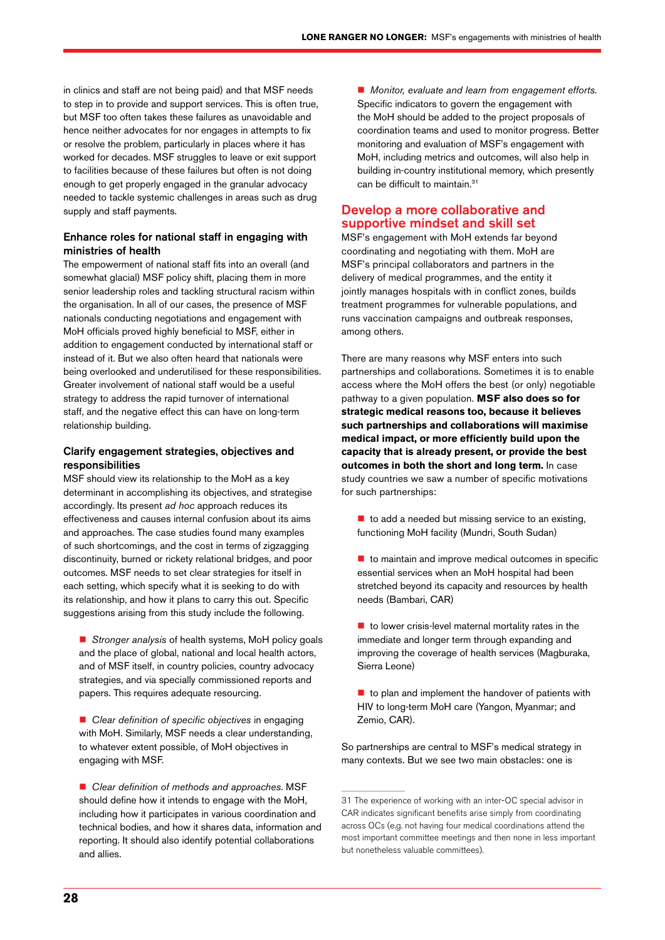in clinics and staff are not being paid) and that MSF needs to step in to provide and support services. This is often true, but MSF too often takes these failures as unavoidable and hence neither advocates for nor engages in attempts to fix or resolve the problem, particularly in places where it has worked for decades. MSF struggles to leave or exit support to facilities because of these failures but often is not doing enough to get properly engaged in the granular advocacy needed to tackle systemic challenges in areas such as drug supply and staff payments.

#### Enhance roles for national staff in engaging with ministries of health

The empowerment of national staff fits into an overall (and somewhat glacial) MSF policy shift, placing them in more senior leadership roles and tackling structural racism within the organisation. In all of our cases, the presence of MSF nationals conducting negotiations and engagement with MoH officials proved highly beneficial to MSF, either in addition to engagement conducted by international staff or instead of it. But we also often heard that nationals were being overlooked and underutilised for these responsibilities. Greater involvement of national staff would be a useful strategy to address the rapid turnover of international staff, and the negative effect this can have on long-term relationship building.

#### Clarify engagement strategies, objectives and responsibilities

MSF should view its relationship to the MoH as a key determinant in accomplishing its objectives, and strategise accordingly. Its present *ad hoc* approach reduces its effectiveness and causes internal confusion about its aims and approaches. The case studies found many examples of such shortcomings, and the cost in terms of zigzagging discontinuity, burned or rickety relational bridges, and poor outcomes. MSF needs to set clear strategies for itself in each setting, which specify what it is seeking to do with its relationship, and how it plans to carry this out. Specific suggestions arising from this study include the following.

■ *Stronger analysis* of health systems, MoH policy goals and the place of global, national and local health actors, and of MSF itself, in country policies, country advocacy strategies, and via specially commissioned reports and papers. This requires adequate resourcing.

■ *Clear definition of specific objectives* in engaging with MoH. Similarly, MSF needs a clear understanding, to whatever extent possible, of MoH objectives in engaging with MSF.

 *Clear definition of methods and approaches*. MSF should define how it intends to engage with the MoH, including how it participates in various coordination and technical bodies, and how it shares data, information and reporting. It should also identify potential collaborations and allies.

 *Monitor, evaluate and learn from engagement efforts*. Specific indicators to govern the engagement with the MoH should be added to the project proposals of coordination teams and used to monitor progress. Better monitoring and evaluation of MSF's engagement with MoH, including metrics and outcomes, will also help in building in-country institutional memory, which presently can be difficult to maintain.<sup>31</sup>

#### Develop a more collaborative and supportive mindset and skill set

MSF's engagement with MoH extends far beyond coordinating and negotiating with them. MoH are MSF's principal collaborators and partners in the delivery of medical programmes, and the entity it jointly manages hospitals with in conflict zones, builds treatment programmes for vulnerable populations, and runs vaccination campaigns and outbreak responses, among others.

There are many reasons why MSF enters into such partnerships and collaborations. Sometimes it is to enable access where the MoH offers the best (or only) negotiable pathway to a given population. **MSF also does so for strategic medical reasons too, because it believes such partnerships and collaborations will maximise medical impact, or more efficiently build upon the capacity that is already present, or provide the best outcomes in both the short and long term.** In case study countries we saw a number of specific motivations for such partnerships:

- $\blacksquare$  to add a needed but missing service to an existing, functioning MoH facility (Mundri, South Sudan)
- $\blacksquare$  to maintain and improve medical outcomes in specific essential services when an MoH hospital had been stretched beyond its capacity and resources by health needs (Bambari, CAR)
- $\blacksquare$  to lower crisis-level maternal mortality rates in the immediate and longer term through expanding and improving the coverage of health services (Magburaka, Sierra Leone)
- $\blacksquare$  to plan and implement the handover of patients with HIV to long-term MoH care (Yangon, Myanmar; and Zemio, CAR).

So partnerships are central to MSF's medical strategy in many contexts. But we see two main obstacles: one is

<sup>31</sup> The experience of working with an inter-OC special advisor in CAR indicates significant benefits arise simply from coordinating across OCs (e.g. not having four medical coordinations attend the most important committee meetings and then none in less important but nonetheless valuable committees).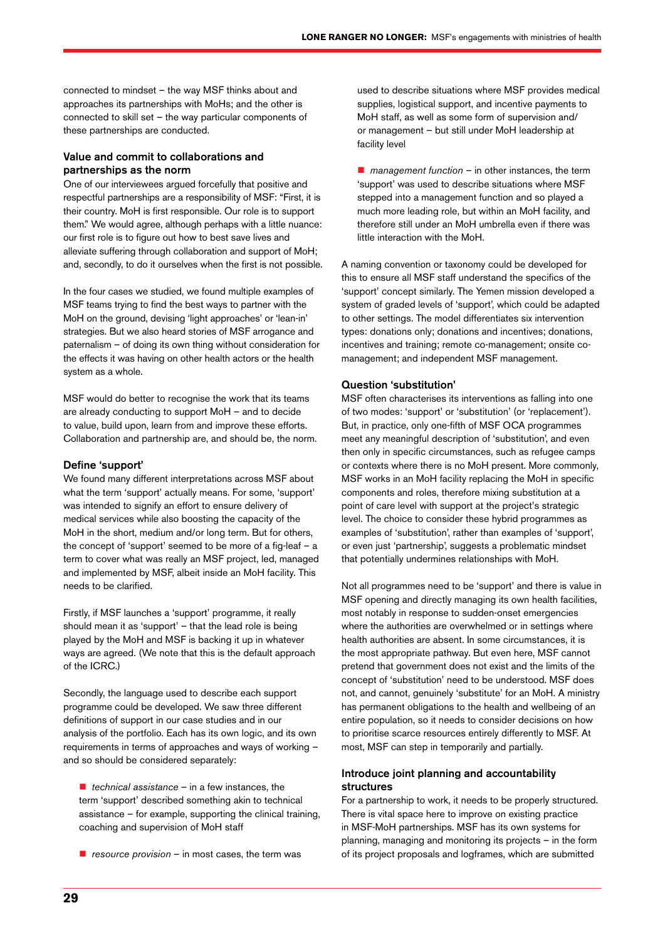connected to mindset – the way MSF thinks about and approaches its partnerships with MoHs; and the other is connected to skill set – the way particular components of these partnerships are conducted.

#### Value and commit to collaborations and partnerships as the norm

One of our interviewees argued forcefully that positive and respectful partnerships are a responsibility of MSF: "First, it is their country. MoH is first responsible. Our role is to support them." We would agree, although perhaps with a little nuance: our first role is to figure out how to best save lives and alleviate suffering through collaboration and support of MoH; and, secondly, to do it ourselves when the first is not possible.

In the four cases we studied, we found multiple examples of MSF teams trying to find the best ways to partner with the MoH on the ground, devising 'light approaches' or 'lean-in' strategies. But we also heard stories of MSF arrogance and paternalism – of doing its own thing without consideration for the effects it was having on other health actors or the health system as a whole.

MSF would do better to recognise the work that its teams are already conducting to support MoH – and to decide to value, build upon, learn from and improve these efforts. Collaboration and partnership are, and should be, the norm.

#### Define 'support'

We found many different interpretations across MSF about what the term 'support' actually means. For some, 'support' was intended to signify an effort to ensure delivery of medical services while also boosting the capacity of the MoH in the short, medium and/or long term. But for others, the concept of 'support' seemed to be more of a fig-leaf – a term to cover what was really an MSF project, led, managed and implemented by MSF, albeit inside an MoH facility. This needs to be clarified.

Firstly, if MSF launches a 'support' programme, it really should mean it as 'support' – that the lead role is being played by the MoH and MSF is backing it up in whatever ways are agreed. (We note that this is the default approach of the ICRC.)

Secondly, the language used to describe each support programme could be developed. We saw three different definitions of support in our case studies and in our analysis of the portfolio. Each has its own logic, and its own requirements in terms of approaches and ways of working – and so should be considered separately:

■ *technical assistance* – in a few instances, the term 'support' described something akin to technical assistance – for example, supporting the clinical training, coaching and supervision of MoH staff

■ *resource provision* – in most cases, the term was

used to describe situations where MSF provides medical supplies, logistical support, and incentive payments to MoH staff, as well as some form of supervision and/ or management – but still under MoH leadership at facility level

■ *management function* – in other instances, the term 'support' was used to describe situations where MSF stepped into a management function and so played a much more leading role, but within an MoH facility, and therefore still under an MoH umbrella even if there was little interaction with the MoH.

A naming convention or taxonomy could be developed for this to ensure all MSF staff understand the specifics of the 'support' concept similarly. The Yemen mission developed a system of graded levels of 'support', which could be adapted to other settings. The model differentiates six intervention types: donations only; donations and incentives; donations, incentives and training; remote co-management; onsite comanagement; and independent MSF management.

#### Question 'substitution'

MSF often characterises its interventions as falling into one of two modes: 'support' or 'substitution' (or 'replacement'). But, in practice, only one-fifth of MSF OCA programmes meet any meaningful description of 'substitution', and even then only in specific circumstances, such as refugee camps or contexts where there is no MoH present. More commonly, MSF works in an MoH facility replacing the MoH in specific components and roles, therefore mixing substitution at a point of care level with support at the project's strategic level. The choice to consider these hybrid programmes as examples of 'substitution', rather than examples of 'support', or even just 'partnership', suggests a problematic mindset that potentially undermines relationships with MoH.

Not all programmes need to be 'support' and there is value in MSF opening and directly managing its own health facilities, most notably in response to sudden-onset emergencies where the authorities are overwhelmed or in settings where health authorities are absent. In some circumstances, it is the most appropriate pathway. But even here, MSF cannot pretend that government does not exist and the limits of the concept of 'substitution' need to be understood. MSF does not, and cannot, genuinely 'substitute' for an MoH. A ministry has permanent obligations to the health and wellbeing of an entire population, so it needs to consider decisions on how to prioritise scarce resources entirely differently to MSF. At most, MSF can step in temporarily and partially.

#### Introduce joint planning and accountability structures

For a partnership to work, it needs to be properly structured. There is vital space here to improve on existing practice in MSF-MoH partnerships. MSF has its own systems for planning, managing and monitoring its projects – in the form of its project proposals and logframes, which are submitted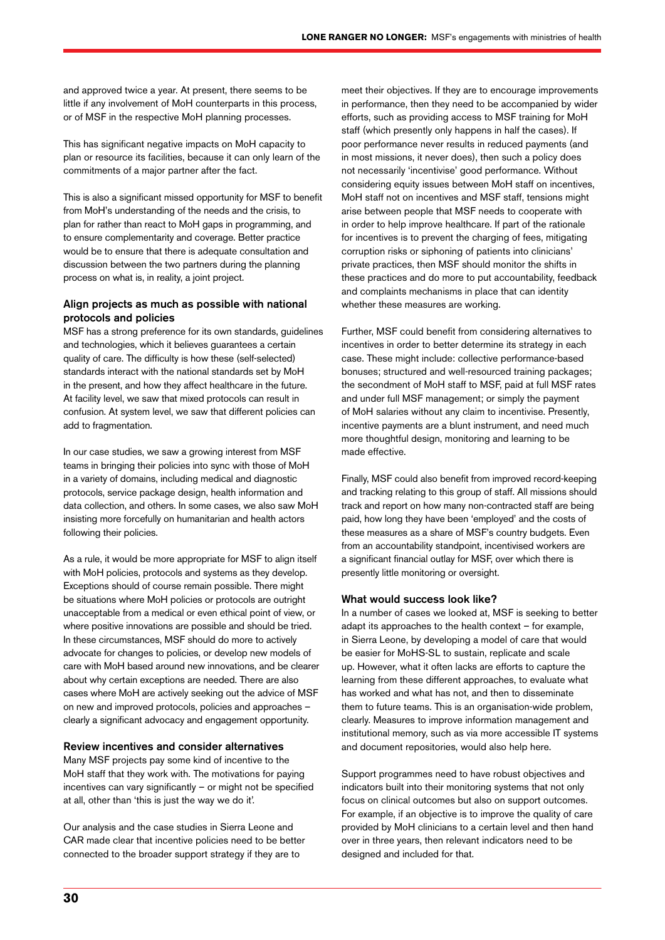and approved twice a year. At present, there seems to be little if any involvement of MoH counterparts in this process, or of MSF in the respective MoH planning processes.

This has significant negative impacts on MoH capacity to plan or resource its facilities, because it can only learn of the commitments of a major partner after the fact.

This is also a significant missed opportunity for MSF to benefit from MoH's understanding of the needs and the crisis, to plan for rather than react to MoH gaps in programming, and to ensure complementarity and coverage. Better practice would be to ensure that there is adequate consultation and discussion between the two partners during the planning process on what is, in reality, a joint project.

#### Align projects as much as possible with national protocols and policies

MSF has a strong preference for its own standards, guidelines and technologies, which it believes guarantees a certain quality of care. The difficulty is how these (self-selected) standards interact with the national standards set by MoH in the present, and how they affect healthcare in the future. At facility level, we saw that mixed protocols can result in confusion. At system level, we saw that different policies can add to fragmentation.

In our case studies, we saw a growing interest from MSF teams in bringing their policies into sync with those of MoH in a variety of domains, including medical and diagnostic protocols, service package design, health information and data collection, and others. In some cases, we also saw MoH insisting more forcefully on humanitarian and health actors following their policies.

As a rule, it would be more appropriate for MSF to align itself with MoH policies, protocols and systems as they develop. Exceptions should of course remain possible. There might be situations where MoH policies or protocols are outright unacceptable from a medical or even ethical point of view, or where positive innovations are possible and should be tried. In these circumstances, MSF should do more to actively advocate for changes to policies, or develop new models of care with MoH based around new innovations, and be clearer about why certain exceptions are needed. There are also cases where MoH are actively seeking out the advice of MSF on new and improved protocols, policies and approaches – clearly a significant advocacy and engagement opportunity.

#### Review incentives and consider alternatives

Many MSF projects pay some kind of incentive to the MoH staff that they work with. The motivations for paying incentives can vary significantly – or might not be specified at all, other than 'this is just the way we do it'.

Our analysis and the case studies in Sierra Leone and CAR made clear that incentive policies need to be better connected to the broader support strategy if they are to

meet their objectives. If they are to encourage improvements in performance, then they need to be accompanied by wider efforts, such as providing access to MSF training for MoH staff (which presently only happens in half the cases). If poor performance never results in reduced payments (and in most missions, it never does), then such a policy does not necessarily 'incentivise' good performance. Without considering equity issues between MoH staff on incentives, MoH staff not on incentives and MSF staff, tensions might arise between people that MSF needs to cooperate with in order to help improve healthcare. If part of the rationale for incentives is to prevent the charging of fees, mitigating corruption risks or siphoning of patients into clinicians' private practices, then MSF should monitor the shifts in these practices and do more to put accountability, feedback and complaints mechanisms in place that can identity whether these measures are working.

Further, MSF could benefit from considering alternatives to incentives in order to better determine its strategy in each case. These might include: collective performance-based bonuses; structured and well-resourced training packages; the secondment of MoH staff to MSF, paid at full MSF rates and under full MSF management; or simply the payment of MoH salaries without any claim to incentivise. Presently, incentive payments are a blunt instrument, and need much more thoughtful design, monitoring and learning to be made effective.

Finally, MSF could also benefit from improved record-keeping and tracking relating to this group of staff. All missions should track and report on how many non-contracted staff are being paid, how long they have been 'employed' and the costs of these measures as a share of MSF's country budgets. Even from an accountability standpoint, incentivised workers are a significant financial outlay for MSF, over which there is presently little monitoring or oversight.

#### What would success look like?

In a number of cases we looked at, MSF is seeking to better adapt its approaches to the health context – for example, in Sierra Leone, by developing a model of care that would be easier for MoHS-SL to sustain, replicate and scale up. However, what it often lacks are efforts to capture the learning from these different approaches, to evaluate what has worked and what has not, and then to disseminate them to future teams. This is an organisation-wide problem, clearly. Measures to improve information management and institutional memory, such as via more accessible IT systems and document repositories, would also help here.

Support programmes need to have robust objectives and indicators built into their monitoring systems that not only focus on clinical outcomes but also on support outcomes. For example, if an objective is to improve the quality of care provided by MoH clinicians to a certain level and then hand over in three years, then relevant indicators need to be designed and included for that.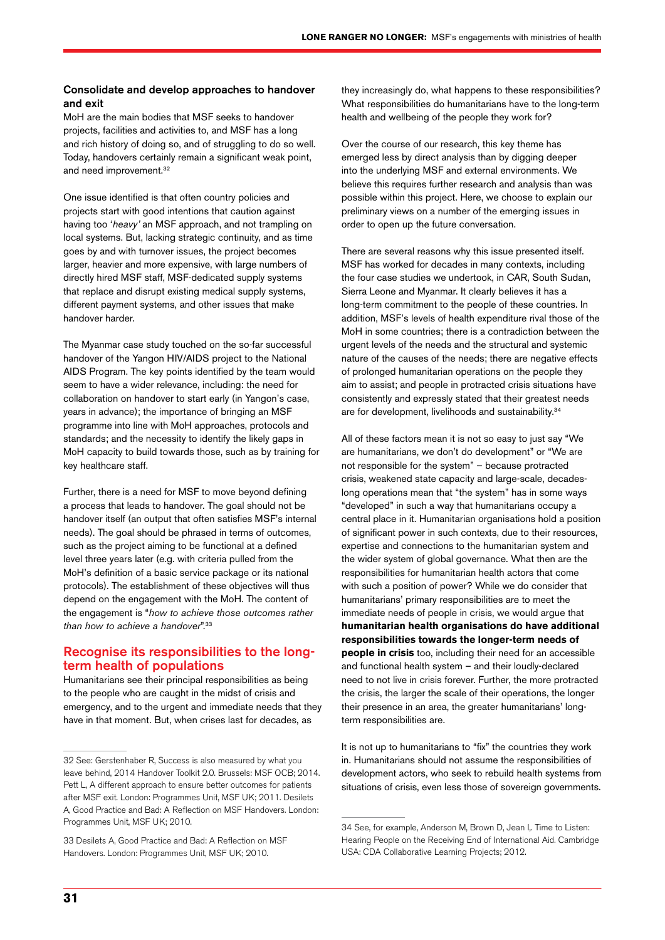#### Consolidate and develop approaches to handover and exit

MoH are the main bodies that MSF seeks to handover projects, facilities and activities to, and MSF has a long and rich history of doing so, and of struggling to do so well. Today, handovers certainly remain a significant weak point, and need improvement.<sup>32</sup>

One issue identified is that often country policies and projects start with good intentions that caution against having too '*heavy'* an MSF approach, and not trampling on local systems. But, lacking strategic continuity, and as time goes by and with turnover issues, the project becomes larger, heavier and more expensive, with large numbers of directly hired MSF staff, MSF-dedicated supply systems that replace and disrupt existing medical supply systems, different payment systems, and other issues that make handover harder.

The Myanmar case study touched on the so-far successful handover of the Yangon HIV/AIDS project to the National AIDS Program. The key points identified by the team would seem to have a wider relevance, including: the need for collaboration on handover to start early (in Yangon's case, years in advance); the importance of bringing an MSF programme into line with MoH approaches, protocols and standards; and the necessity to identify the likely gaps in MoH capacity to build towards those, such as by training for key healthcare staff.

Further, there is a need for MSF to move beyond defining a process that leads to handover. The goal should not be handover itself (an output that often satisfies MSF's internal needs). The goal should be phrased in terms of outcomes, such as the project aiming to be functional at a defined level three years later (e.g. with criteria pulled from the MoH's definition of a basic service package or its national protocols). The establishment of these objectives will thus depend on the engagement with the MoH. The content of the engagement is "*how to achieve those outcomes rather than how to achieve a handover*".33

#### Recognise its responsibilities to the longterm health of populations

Humanitarians see their principal responsibilities as being to the people who are caught in the midst of crisis and emergency, and to the urgent and immediate needs that they have in that moment. But, when crises last for decades, as

they increasingly do, what happens to these responsibilities? What responsibilities do humanitarians have to the long-term health and wellbeing of the people they work for?

Over the course of our research, this key theme has emerged less by direct analysis than by digging deeper into the underlying MSF and external environments. We believe this requires further research and analysis than was possible within this project. Here, we choose to explain our preliminary views on a number of the emerging issues in order to open up the future conversation.

There are several reasons why this issue presented itself. MSF has worked for decades in many contexts, including the four case studies we undertook, in CAR, South Sudan, Sierra Leone and Myanmar. It clearly believes it has a long-term commitment to the people of these countries. In addition, MSF's levels of health expenditure rival those of the MoH in some countries; there is a contradiction between the urgent levels of the needs and the structural and systemic nature of the causes of the needs; there are negative effects of prolonged humanitarian operations on the people they aim to assist; and people in protracted crisis situations have consistently and expressly stated that their greatest needs are for development, livelihoods and sustainability.<sup>34</sup>

All of these factors mean it is not so easy to just say "We are humanitarians, we don't do development" or "We are not responsible for the system" – because protracted crisis, weakened state capacity and large-scale, decadeslong operations mean that "the system" has in some ways "developed" in such a way that humanitarians occupy a central place in it. Humanitarian organisations hold a position of significant power in such contexts, due to their resources, expertise and connections to the humanitarian system and the wider system of global governance. What then are the responsibilities for humanitarian health actors that come with such a position of power? While we do consider that humanitarians' primary responsibilities are to meet the immediate needs of people in crisis, we would argue that **humanitarian health organisations do have additional responsibilities towards the longer-term needs of people in crisis** too, including their need for an accessible and functional health system – and their loudly-declared need to not live in crisis forever. Further, the more protracted the crisis, the larger the scale of their operations, the longer their presence in an area, the greater humanitarians' longterm responsibilities are.

It is not up to humanitarians to "fix" the countries they work in. Humanitarians should not assume the responsibilities of development actors, who seek to rebuild health systems from situations of crisis, even less those of sovereign governments.

<sup>32</sup> See: Gerstenhaber R, Success is also measured by what you leave behind, 2014 Handover Toolkit 2.0. Brussels: MSF OCB; 2014. Pett L, A different approach to ensure better outcomes for patients after MSF exit. London: Programmes Unit, MSF UK; 2011. Desilets A, Good Practice and Bad: A Reflection on MSF Handovers. London: Programmes Unit, MSF UK; 2010.

<sup>33</sup> Desilets A, Good Practice and Bad: A Reflection on MSF Handovers. London: Programmes Unit, MSF UK; 2010.

<sup>34</sup> See, for example, Anderson M, Brown D, Jean I, Time to Listen: Hearing People on the Receiving End of International Aid. Cambridge USA: CDA Collaborative Learning Projects; 2012.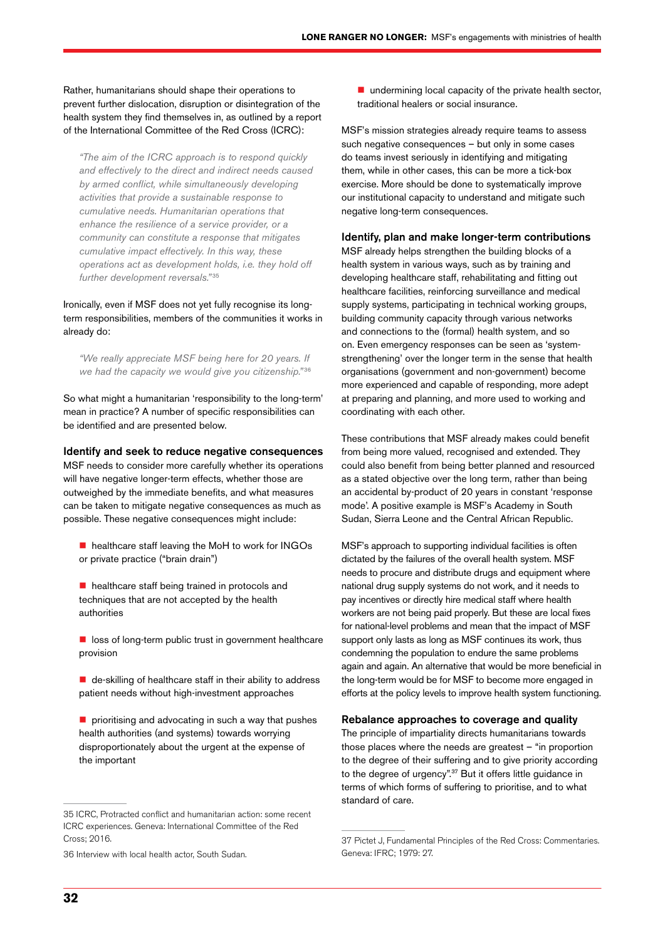Rather, humanitarians should shape their operations to prevent further dislocation, disruption or disintegration of the health system they find themselves in, as outlined by a report of the International Committee of the Red Cross (ICRC):

*"The aim of the ICRC approach is to respond quickly and effectively to the direct and indirect needs caused by armed conflict, while simultaneously developing activities that provide a sustainable response to cumulative needs. Humanitarian operations that enhance the resilience of a service provider, or a community can constitute a response that mitigates cumulative impact effectively. In this way, these operations act as development holds, i.e. they hold off further development reversals."*<sup>35</sup>

Ironically, even if MSF does not yet fully recognise its longterm responsibilities, members of the communities it works in already do:

*"We really appreciate MSF being here for 20 years. If we had the capacity we would give you citizenship."* <sup>36</sup>

So what might a humanitarian 'responsibility to the long-term' mean in practice? A number of specific responsibilities can be identified and are presented below.

#### Identify and seek to reduce negative consequences

MSF needs to consider more carefully whether its operations will have negative longer-term effects, whether those are outweighed by the immediate benefits, and what measures can be taken to mitigate negative consequences as much as possible. These negative consequences might include:

- healthcare staff leaving the MoH to work for INGOs or private practice ("brain drain")
- healthcare staff being trained in protocols and techniques that are not accepted by the health authorities
- $\blacksquare$  loss of long-term public trust in government healthcare provision
- $\blacksquare$  de-skilling of healthcare staff in their ability to address patient needs without high-investment approaches
- $\blacksquare$  prioritising and advocating in such a way that pushes health authorities (and systems) towards worrying disproportionately about the urgent at the expense of the important

36 Interview with local health actor, South Sudan.

 $\blacksquare$  undermining local capacity of the private health sector, traditional healers or social insurance.

MSF's mission strategies already require teams to assess such negative consequences – but only in some cases do teams invest seriously in identifying and mitigating them, while in other cases, this can be more a tick-box exercise. More should be done to systematically improve our institutional capacity to understand and mitigate such negative long-term consequences.

#### Identify, plan and make longer-term contributions

MSF already helps strengthen the building blocks of a health system in various ways, such as by training and developing healthcare staff, rehabilitating and fitting out healthcare facilities, reinforcing surveillance and medical supply systems, participating in technical working groups, building community capacity through various networks and connections to the (formal) health system, and so on. Even emergency responses can be seen as 'systemstrengthening' over the longer term in the sense that health organisations (government and non-government) become more experienced and capable of responding, more adept at preparing and planning, and more used to working and coordinating with each other.

These contributions that MSF already makes could benefit from being more valued, recognised and extended. They could also benefit from being better planned and resourced as a stated objective over the long term, rather than being an accidental by-product of 20 years in constant 'response mode'. A positive example is MSF's Academy in South Sudan, Sierra Leone and the Central African Republic.

MSF's approach to supporting individual facilities is often dictated by the failures of the overall health system. MSF needs to procure and distribute drugs and equipment where national drug supply systems do not work, and it needs to pay incentives or directly hire medical staff where health workers are not being paid properly. But these are local fixes for national-level problems and mean that the impact of MSF support only lasts as long as MSF continues its work, thus condemning the population to endure the same problems again and again. An alternative that would be more beneficial in the long-term would be for MSF to become more engaged in efforts at the policy levels to improve health system functioning.

#### Rebalance approaches to coverage and quality

The principle of impartiality directs humanitarians towards those places where the needs are greatest – "in proportion to the degree of their suffering and to give priority according to the degree of urgency".37 But it offers little guidance in terms of which forms of suffering to prioritise, and to what standard of care.

<sup>35</sup> ICRC, Protracted conflict and humanitarian action: some recent ICRC experiences. Geneva: International Committee of the Red Cross; 2016.

<sup>37</sup> Pictet J, Fundamental Principles of the Red Cross: Commentaries. Geneva: IFRC; 1979: 27.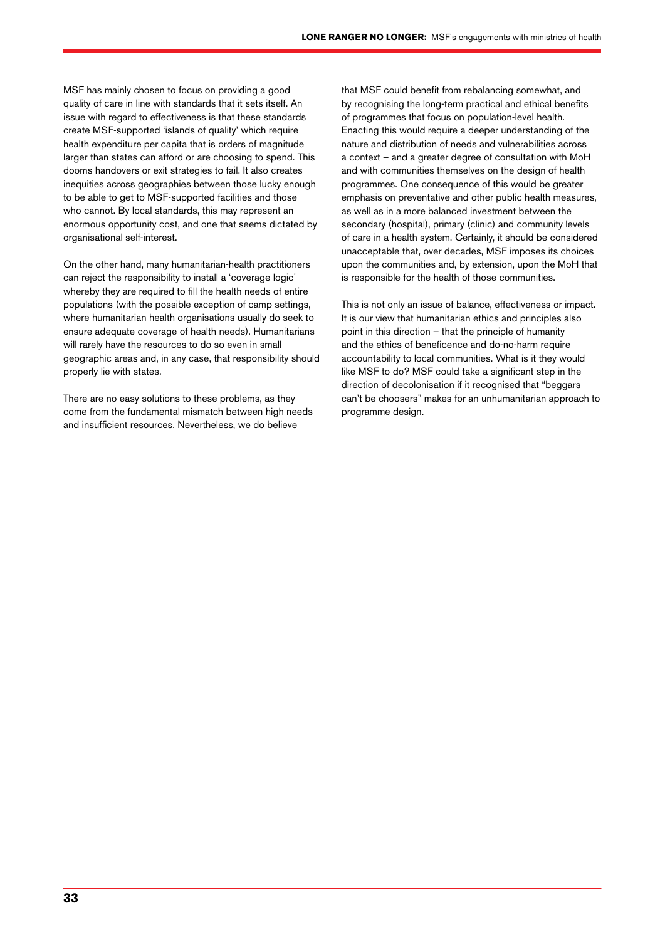MSF has mainly chosen to focus on providing a good quality of care in line with standards that it sets itself. An issue with regard to effectiveness is that these standards create MSF-supported 'islands of quality' which require health expenditure per capita that is orders of magnitude larger than states can afford or are choosing to spend. This dooms handovers or exit strategies to fail. It also creates inequities across geographies between those lucky enough to be able to get to MSF-supported facilities and those who cannot. By local standards, this may represent an enormous opportunity cost, and one that seems dictated by organisational self-interest.

On the other hand, many humanitarian-health practitioners can reject the responsibility to install a 'coverage logic' whereby they are required to fill the health needs of entire populations (with the possible exception of camp settings, where humanitarian health organisations usually do seek to ensure adequate coverage of health needs). Humanitarians will rarely have the resources to do so even in small geographic areas and, in any case, that responsibility should properly lie with states.

There are no easy solutions to these problems, as they come from the fundamental mismatch between high needs and insufficient resources. Nevertheless, we do believe

that MSF could benefit from rebalancing somewhat, and by recognising the long-term practical and ethical benefits of programmes that focus on population-level health. Enacting this would require a deeper understanding of the nature and distribution of needs and vulnerabilities across a context – and a greater degree of consultation with MoH and with communities themselves on the design of health programmes. One consequence of this would be greater emphasis on preventative and other public health measures, as well as in a more balanced investment between the secondary (hospital), primary (clinic) and community levels of care in a health system. Certainly, it should be considered unacceptable that, over decades, MSF imposes its choices upon the communities and, by extension, upon the MoH that is responsible for the health of those communities.

This is not only an issue of balance, effectiveness or impact. It is our view that humanitarian ethics and principles also point in this direction – that the principle of humanity and the ethics of beneficence and do-no-harm require accountability to local communities. What is it they would like MSF to do? MSF could take a significant step in the direction of decolonisation if it recognised that "beggars can't be choosers" makes for an unhumanitarian approach to programme design.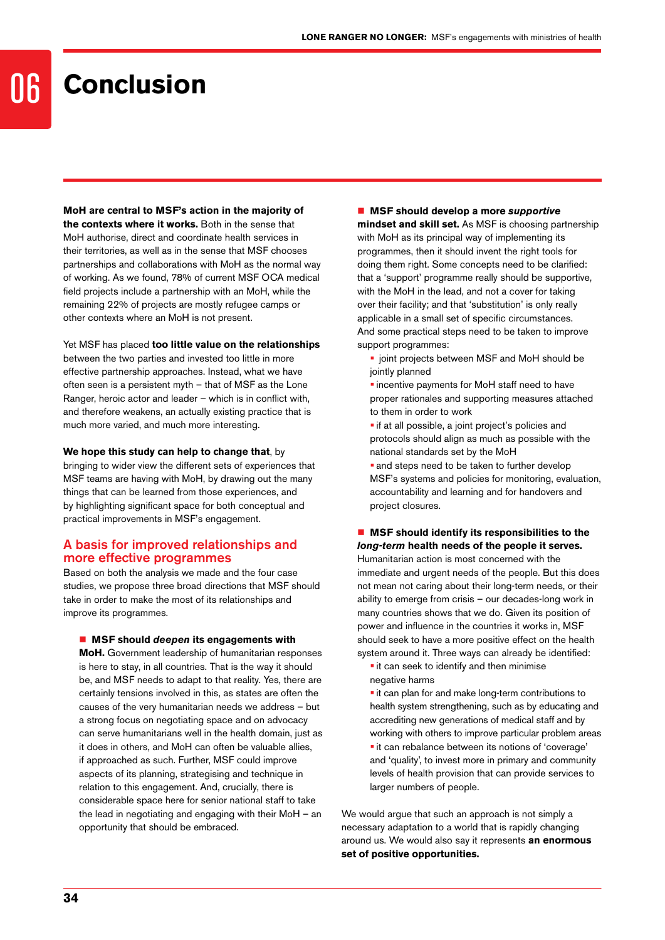### **Conclusion**

**MoH are central to MSF's action in the majority of the contexts where it works.** Both in the sense that

MoH authorise, direct and coordinate health services in their territories, as well as in the sense that MSF chooses partnerships and collaborations with MoH as the normal way of working. As we found, 78% of current MSF OCA medical field projects include a partnership with an MoH, while the remaining 22% of projects are mostly refugee camps or other contexts where an MoH is not present.

Yet MSF has placed **too little value on the relationships**  between the two parties and invested too little in more effective partnership approaches. Instead, what we have often seen is a persistent myth – that of MSF as the Lone Ranger, heroic actor and leader – which is in conflict with, and therefore weakens, an actually existing practice that is much more varied, and much more interesting.

#### **We hope this study can help to change that**, by

bringing to wider view the different sets of experiences that MSF teams are having with MoH, by drawing out the many things that can be learned from those experiences, and by highlighting significant space for both conceptual and practical improvements in MSF's engagement.

#### A basis for improved relationships and more effective programmes

Based on both the analysis we made and the four case studies, we propose three broad directions that MSF should take in order to make the most of its relationships and improve its programmes.

#### ■ MSF should *deepen* its engagements with

**MoH.** Government leadership of humanitarian responses is here to stay, in all countries. That is the way it should be, and MSF needs to adapt to that reality. Yes, there are certainly tensions involved in this, as states are often the causes of the very humanitarian needs we address – but a strong focus on negotiating space and on advocacy can serve humanitarians well in the health domain, just as it does in others, and MoH can often be valuable allies, if approached as such. Further, MSF could improve aspects of its planning, strategising and technique in relation to this engagement. And, crucially, there is considerable space here for senior national staff to take the lead in negotiating and engaging with their MoH – an opportunity that should be embraced.

**MSF should develop a more** *supportive*

**mindset and skill set.** As MSF is choosing partnership with MoH as its principal way of implementing its programmes, then it should invent the right tools for doing them right. Some concepts need to be clarified: that a 'support' programme really should be supportive, with the MoH in the lead, and not a cover for taking over their facility; and that 'substitution' is only really applicable in a small set of specific circumstances. And some practical steps need to be taken to improve support programmes:

**• joint projects between MSF and MoH should be** jointly planned

**·** incentive payments for MoH staff need to have proper rationales and supporting measures attached to them in order to work

 $\blacksquare$  if at all possible, a joint project's policies and protocols should align as much as possible with the national standards set by the MoH

and steps need to be taken to further develop MSF's systems and policies for monitoring, evaluation, accountability and learning and for handovers and project closures.

■ MSF should identify its responsibilities to the *long-term* **health needs of the people it serves.** 

Humanitarian action is most concerned with the immediate and urgent needs of the people. But this does not mean not caring about their long-term needs, or their ability to emerge from crisis – our decades-long work in many countries shows that we do. Given its position of power and influence in the countries it works in, MSF should seek to have a more positive effect on the health system around it. Three ways can already be identified:

 $\blacksquare$  it can seek to identify and then minimise negative harms

 $\blacksquare$  it can plan for and make long-term contributions to health system strengthening, such as by educating and accrediting new generations of medical staff and by working with others to improve particular problem areas  $\blacksquare$  it can rebalance between its notions of 'coverage' and 'quality', to invest more in primary and community levels of health provision that can provide services to larger numbers of people.

We would argue that such an approach is not simply a necessary adaptation to a world that is rapidly changing around us. We would also say it represents **an enormous set of positive opportunities.**